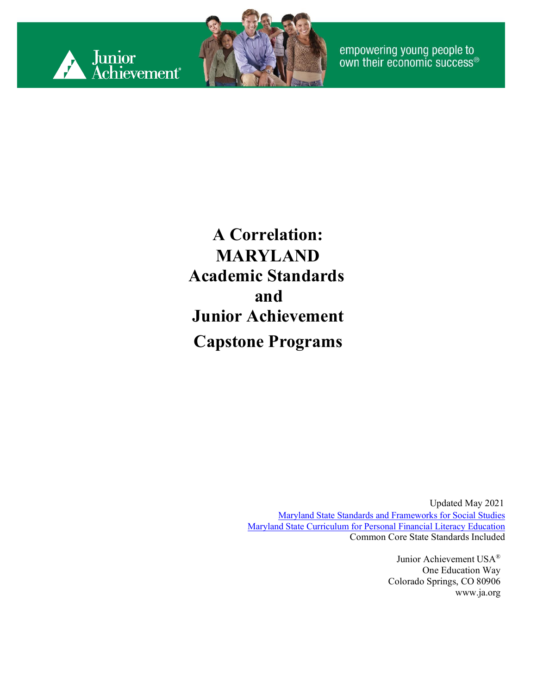



empowering young people to<br>own their economic success®

**A Correlation: MARYLAND Academic Standards and Junior Achievement Capstone Programs**

> Updated May 2021 [Maryland State Standards and Frameworks for Social Studies](http://marylandpublicschools.org/about/Pages/DCAA/Social-Studies/MSSS.aspx) [Maryland State Curriculum for Personal Financial Literacy Education](https://mdk12.msde.maryland.gov/INSTRUCTION/StandardsandFrameworks/financial_literacy/Pages/index.aspx) Common Core State Standards Included

> > Junior Achievement USA® One Education Way Colorado Springs, CO 80906 [www.ja.org](http://www.ja.org/)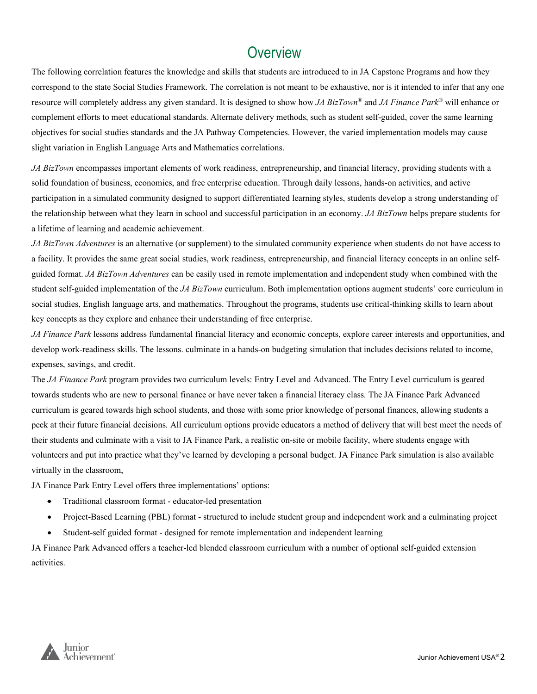#### **Overview**

The following correlation features the knowledge and skills that students are introduced to in JA Capstone Programs and how they correspond to the state Social Studies Framework. The correlation is not meant to be exhaustive, nor is it intended to infer that any one resource will completely address any given standard. It is designed to show how *JA BizTown®* and *JA Finance Park®* will enhance or complement efforts to meet educational standards. Alternate delivery methods, such as student self-guided, cover the same learning objectives for social studies standards and the JA Pathway Competencies. However, the varied implementation models may cause slight variation in English Language Arts and Mathematics correlations.

*JA BizTown* encompasses important elements of work readiness, entrepreneurship, and financial literacy, providing students with a solid foundation of business, economics, and free enterprise education. Through daily lessons, hands-on activities, and active participation in a simulated community designed to support differentiated learning styles, students develop a strong understanding of the relationship between what they learn in school and successful participation in an economy. *JA BizTown* helps prepare students for a lifetime of learning and academic achievement.

*JA BizTown Adventures* is an alternative (or supplement) to the simulated community experience when students do not have access to a facility. It provides the same great social studies, work readiness, entrepreneurship, and financial literacy concepts in an online selfguided format. *JA BizTown Adventures* can be easily used in remote implementation and independent study when combined with the student self-guided implementation of the *JA BizTown* curriculum. Both implementation options augment students' core curriculum in social studies, English language arts, and mathematics. Throughout the programs, students use critical-thinking skills to learn about key concepts as they explore and enhance their understanding of free enterprise.

*JA Finance Park* lessons address fundamental financial literacy and economic concepts, explore career interests and opportunities, and develop work-readiness skills. The lessons. culminate in a hands-on budgeting simulation that includes decisions related to income, expenses, savings, and credit.

The *JA Finance Park* program provides two curriculum levels: Entry Level and Advanced. The Entry Level curriculum is geared towards students who are new to personal finance or have never taken a financial literacy class. The JA Finance Park Advanced curriculum is geared towards high school students, and those with some prior knowledge of personal finances, allowing students a peek at their future financial decisions. All curriculum options provide educators a method of delivery that will best meet the needs of their students and culminate with a visit to JA Finance Park, a realistic on-site or mobile facility, where students engage with volunteers and put into practice what they've learned by developing a personal budget. JA Finance Park simulation is also available virtually in the classroom,

JA Finance Park Entry Level offers three implementations' options:

- Traditional classroom format educator-led presentation
- Project-Based Learning (PBL) format structured to include student group and independent work and a culminating project
- Student-self guided format designed for remote implementation and independent learning

JA Finance Park Advanced offers a teacher-led blended classroom curriculum with a number of optional self-guided extension activities.

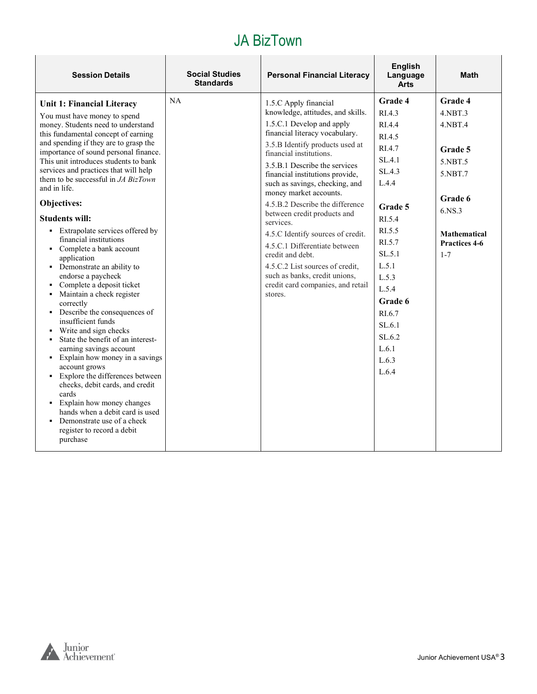| <b>Standards</b><br><b>Arts</b>                                                                                                                                                                                                                                                                                                                                                                                                                                                                                                                                                                                                                                                                                                                                                                                                                                                                                                                                                                                                                                                                                                                                                                                                                                                                                                                                                                                                                                                                                                                                                                                                                                                                                                                                                                                                                                                                                                                                                                      |                                                                                                                             |
|------------------------------------------------------------------------------------------------------------------------------------------------------------------------------------------------------------------------------------------------------------------------------------------------------------------------------------------------------------------------------------------------------------------------------------------------------------------------------------------------------------------------------------------------------------------------------------------------------------------------------------------------------------------------------------------------------------------------------------------------------------------------------------------------------------------------------------------------------------------------------------------------------------------------------------------------------------------------------------------------------------------------------------------------------------------------------------------------------------------------------------------------------------------------------------------------------------------------------------------------------------------------------------------------------------------------------------------------------------------------------------------------------------------------------------------------------------------------------------------------------------------------------------------------------------------------------------------------------------------------------------------------------------------------------------------------------------------------------------------------------------------------------------------------------------------------------------------------------------------------------------------------------------------------------------------------------------------------------------------------------|-----------------------------------------------------------------------------------------------------------------------------|
| Grade 4<br><b>NA</b><br>1.5.C Apply financial<br>Unit 1: Financial Literacy<br>knowledge, attitudes, and skills.<br>RI.4.3<br>You must have money to spend<br>1.5.C.1 Develop and apply<br>money. Students need to understand<br>RI.4.4<br>financial literacy vocabulary.<br>this fundamental concept of earning<br>RL4.5<br>and spending if they are to grasp the<br>3.5.B Identify products used at<br>RI.4.7<br>importance of sound personal finance.<br>financial institutions.<br>SL.4.1<br>This unit introduces students to bank<br>3.5.B.1 Describe the services<br>services and practices that will help<br>SL.4.3<br>financial institutions provide,<br>them to be successful in <i>JA BizTown</i><br>L.4.4<br>such as savings, checking, and<br>and in life.<br>money market accounts.<br>Objectives:<br>4.5.B.2 Describe the difference<br>Grade 5<br>between credit products and<br><b>Students will:</b><br>RL5.4<br>services.<br>RI.5.5<br>• Extrapolate services offered by<br>4.5.C Identify sources of credit.<br>financial institutions<br>RI.5.7<br>4.5.C.1 Differentiate between<br>• Complete a bank account<br>SL.5.1<br>$1 - 7$<br>credit and debt.<br>application<br>L.5.1<br>4.5.C.2 List sources of credit.<br>• Demonstrate an ability to<br>such as banks, credit unions,<br>endorse a paycheck<br>L.5.3<br>credit card companies, and retail<br>• Complete a deposit ticket<br>L.5.4<br>Maintain a check register<br>stores.<br>Grade 6<br>correctly<br>• Describe the consequences of<br>RI.6.7<br>insufficient funds<br>SL.6.1<br>Write and sign checks<br>٠<br>SL.6.2<br>State the benefit of an interest-<br>$\blacksquare$<br>L.6.1<br>earning savings account<br>• Explain how money in a savings<br>L.6.3<br>account grows<br>L.6.4<br>• Explore the differences between<br>checks, debit cards, and credit<br>cards<br>• Explain how money changes<br>hands when a debit card is used<br>• Demonstrate use of a check<br>register to record a debit<br>purchase | Grade 4<br>4.NBT.3<br>4.NBT.4<br>Grade 5<br>5.NBT.5<br>5.NBT.7<br>Grade 6<br>6.NS.3<br><b>Mathematical</b><br>Practices 4-6 |

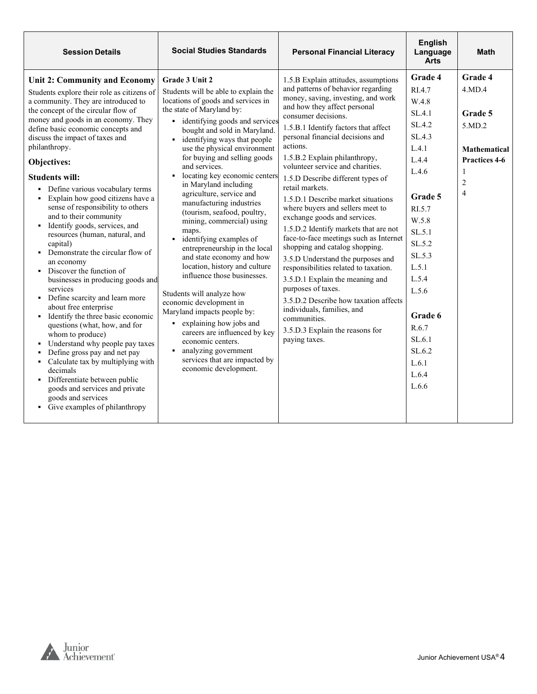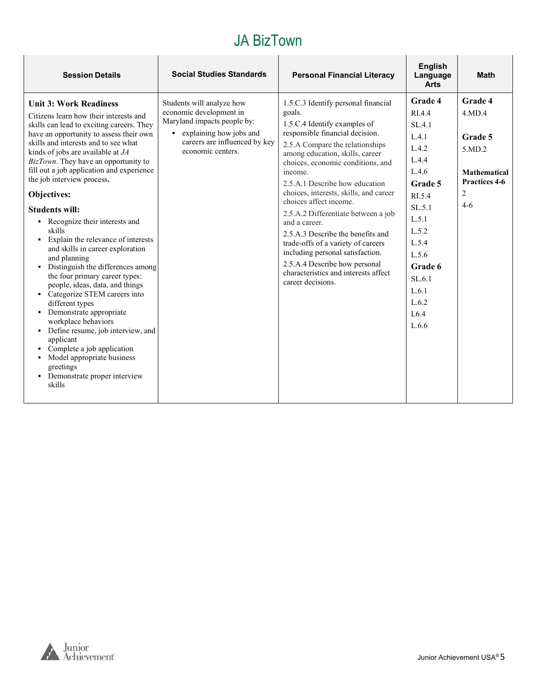| <b>Session Details</b>                                                                                                                                                                                                                                                                                                                                                                                                                                                                                                                                                                                                                                                                                                                                                                                                                                                                                                                                                         | <b>Social Studies Standards</b>                                                                                                                                        | <b>Personal Financial Literacy</b>                                                                                                                                                                                                                                                                                                                                                                                                                                                                                                                                                                                | <b>English</b><br>Language<br><b>Arts</b>                                                                                                                                                  | <b>Math</b>                                                                                  |
|--------------------------------------------------------------------------------------------------------------------------------------------------------------------------------------------------------------------------------------------------------------------------------------------------------------------------------------------------------------------------------------------------------------------------------------------------------------------------------------------------------------------------------------------------------------------------------------------------------------------------------------------------------------------------------------------------------------------------------------------------------------------------------------------------------------------------------------------------------------------------------------------------------------------------------------------------------------------------------|------------------------------------------------------------------------------------------------------------------------------------------------------------------------|-------------------------------------------------------------------------------------------------------------------------------------------------------------------------------------------------------------------------------------------------------------------------------------------------------------------------------------------------------------------------------------------------------------------------------------------------------------------------------------------------------------------------------------------------------------------------------------------------------------------|--------------------------------------------------------------------------------------------------------------------------------------------------------------------------------------------|----------------------------------------------------------------------------------------------|
| <b>Unit 3: Work Readiness</b><br>Citizens learn how their interests and<br>skills can lead to exciting careers. They<br>have an opportunity to assess their own<br>skills and interests and to see what<br>kinds of jobs are available at $JA$<br>BizTown. They have an opportunity to<br>fill out a job application and experience<br>the job interview process.<br>Objectives:<br><b>Students will:</b><br>Recognize their interests and<br>$\blacksquare$<br>skills<br>Explain the relevance of interests<br>$\blacksquare$<br>and skills in career exploration<br>and planning<br>• Distinguish the differences among<br>the four primary career types:<br>people, ideas, data, and things<br>• Categorize STEM careers into<br>different types<br>Demonstrate appropriate<br>workplace behaviors<br>Define resume, job interview, and<br>applicant<br>Complete a job application<br>• Model appropriate business<br>greetings<br>• Demonstrate proper interview<br>skills | Students will analyze how<br>economic development in<br>Maryland impacts people by:<br>• explaining how jobs and<br>careers are influenced by key<br>economic centers. | 1.5.C.3 Identify personal financial<br>goals.<br>1.5.C.4 Identify examples of<br>responsible financial decision.<br>2.5.A Compare the relationships<br>among education, skills, career<br>choices, economic conditions, and<br>income.<br>2.5.A.1 Describe how education<br>choices, interests, skills, and career<br>choices affect income.<br>2.5.A.2 Differentiate between a job<br>and a career.<br>2.5.A.3 Describe the benefits and<br>trade-offs of a variety of careers<br>including personal satisfaction.<br>2.5.A.4 Describe how personal<br>characteristics and interests affect<br>career decisions. | Grade 4<br>RI.4.4<br>SL.4.1<br>L.4.1<br>L.4.2<br>L.4.4<br>L.4.6<br>Grade 5<br>RI.5.4<br>SL.5.1<br>L.5.1<br>L.5.2<br>L.5.4<br>L.5.6<br>Grade 6<br>SL.6.1<br>L.6.1<br>L.6.2<br>L6.4<br>L.6.6 | Grade 4<br>4.MD.4<br>Grade 5<br>5.MD.2<br><b>Mathematical</b><br>Practices 4-6<br>2<br>$4-6$ |

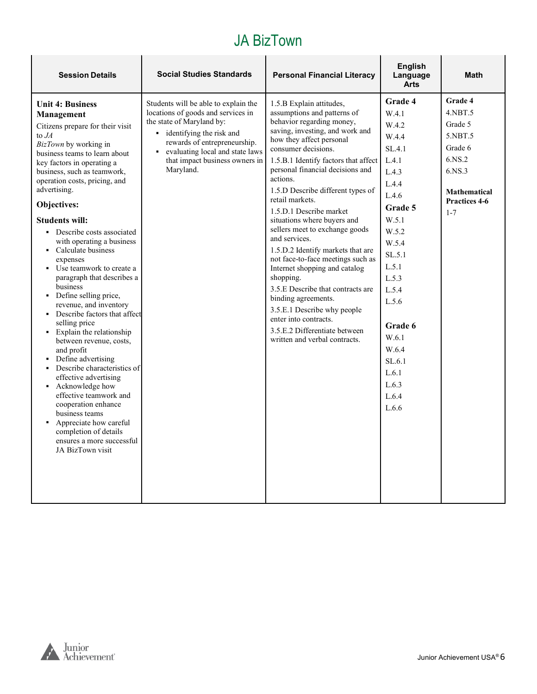| <b>Session Details</b>                                                                                                                                                                                                                                                                                                                                                                                                                                                                                                                                                                                                                                                                                                                                                                                                                                                                                                                | <b>Social Studies Standards</b>                                                                                                                                                                                                                       | <b>Personal Financial Literacy</b>                                                                                                                                                                                                                                                                                                                                                                                                                                                                                                                                                                                                                                                                                                                    | English<br>Language<br><b>Arts</b>                                                                                                                                                                                                                     | <b>Math</b>                                                                                                                       |
|---------------------------------------------------------------------------------------------------------------------------------------------------------------------------------------------------------------------------------------------------------------------------------------------------------------------------------------------------------------------------------------------------------------------------------------------------------------------------------------------------------------------------------------------------------------------------------------------------------------------------------------------------------------------------------------------------------------------------------------------------------------------------------------------------------------------------------------------------------------------------------------------------------------------------------------|-------------------------------------------------------------------------------------------------------------------------------------------------------------------------------------------------------------------------------------------------------|-------------------------------------------------------------------------------------------------------------------------------------------------------------------------------------------------------------------------------------------------------------------------------------------------------------------------------------------------------------------------------------------------------------------------------------------------------------------------------------------------------------------------------------------------------------------------------------------------------------------------------------------------------------------------------------------------------------------------------------------------------|--------------------------------------------------------------------------------------------------------------------------------------------------------------------------------------------------------------------------------------------------------|-----------------------------------------------------------------------------------------------------------------------------------|
| <b>Unit 4: Business</b><br>Management<br>Citizens prepare for their visit<br>to $JA$<br>BizTown by working in<br>business teams to learn about<br>key factors in operating a<br>business, such as teamwork,<br>operation costs, pricing, and<br>advertising.<br>Objectives:<br><b>Students will:</b><br>• Describe costs associated<br>with operating a business<br>• Calculate business<br>expenses<br>• Use teamwork to create a<br>paragraph that describes a<br>business<br>• Define selling price,<br>revenue, and inventory<br>• Describe factors that affect<br>selling price<br>Explain the relationship<br>between revenue, costs,<br>and profit<br>• Define advertising<br>• Describe characteristics of<br>effective advertising<br>Acknowledge how<br>effective teamwork and<br>cooperation enhance<br>business teams<br>Appreciate how careful<br>completion of details<br>ensures a more successful<br>JA BizTown visit | Students will be able to explain the<br>locations of goods and services in<br>the state of Maryland by:<br>identifying the risk and<br>rewards of entrepreneurship.<br>evaluating local and state laws<br>that impact business owners in<br>Maryland. | 1.5.B Explain attitudes,<br>assumptions and patterns of<br>behavior regarding money,<br>saving, investing, and work and<br>how they affect personal<br>consumer decisions.<br>1.5.B.1 Identify factors that affect<br>personal financial decisions and<br>actions.<br>1.5.D Describe different types of<br>retail markets.<br>1.5.D.1 Describe market<br>situations where buyers and<br>sellers meet to exchange goods<br>and services.<br>1.5.D.2 Identify markets that are<br>not face-to-face meetings such as<br>Internet shopping and catalog<br>shopping.<br>3.5.E Describe that contracts are<br>binding agreements.<br>3.5.E.1 Describe why people<br>enter into contracts.<br>3.5.E.2 Differentiate between<br>written and verbal contracts. | <b>Grade 4</b><br>W.4.1<br>W.4.2<br>W.4.4<br>SL.4.1<br>L.4.1<br>L.4.3<br>L.4.4<br>L.4.6<br>Grade 5<br>W.5.1<br>W.5.2<br>W.5.4<br>SL.5.1<br>L.5.1<br>L.5.3<br>L.5.4<br>L.5.6<br>Grade 6<br>W.6.1<br>W.6.4<br>SL.6.1<br>L.6.1<br>L.6.3<br>L.6.4<br>L.6.6 | Grade 4<br>4.NBT.5<br>Grade 5<br>5.NBT.5<br>Grade 6<br>6.NS.2<br>6.NS.3<br><b>Mathematical</b><br><b>Practices 4-6</b><br>$1 - 7$ |

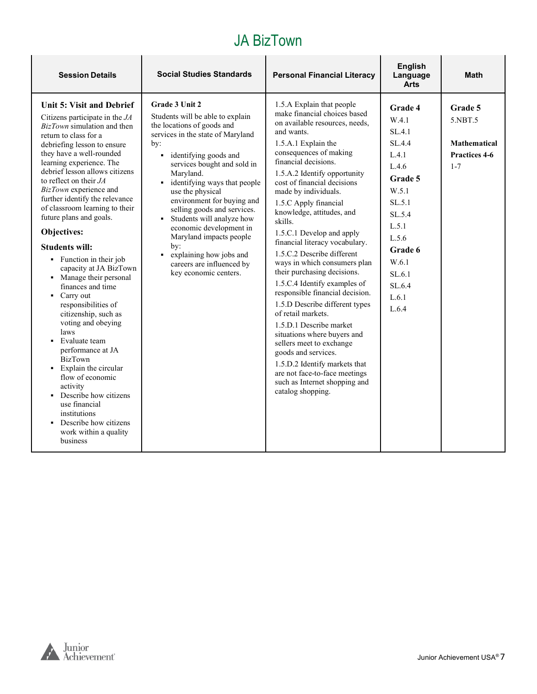| <b>Session Details</b>                                                                                                                                                                                                                                                                                                                                                                                                                                                                                                                                                                                                                                                                                                                                                                                                                                                                                                   | <b>Social Studies Standards</b>                                                                                                                                                                                                                                                                                                                                                                                                                                                                                      | <b>Personal Financial Literacy</b>                                                                                                                                                                                                                                                                                                                                                                                                                                                                                                                                                                                                                                                                                                                                                                                                                                     | <b>English</b><br>Language<br><b>Arts</b>                                                                                                                                         | <b>Math</b>                                                           |
|--------------------------------------------------------------------------------------------------------------------------------------------------------------------------------------------------------------------------------------------------------------------------------------------------------------------------------------------------------------------------------------------------------------------------------------------------------------------------------------------------------------------------------------------------------------------------------------------------------------------------------------------------------------------------------------------------------------------------------------------------------------------------------------------------------------------------------------------------------------------------------------------------------------------------|----------------------------------------------------------------------------------------------------------------------------------------------------------------------------------------------------------------------------------------------------------------------------------------------------------------------------------------------------------------------------------------------------------------------------------------------------------------------------------------------------------------------|------------------------------------------------------------------------------------------------------------------------------------------------------------------------------------------------------------------------------------------------------------------------------------------------------------------------------------------------------------------------------------------------------------------------------------------------------------------------------------------------------------------------------------------------------------------------------------------------------------------------------------------------------------------------------------------------------------------------------------------------------------------------------------------------------------------------------------------------------------------------|-----------------------------------------------------------------------------------------------------------------------------------------------------------------------------------|-----------------------------------------------------------------------|
| Unit 5: Visit and Debrief<br>Citizens participate in the $JA$<br>BizTown simulation and then<br>return to class for a<br>debriefing lesson to ensure<br>they have a well-rounded<br>learning experience. The<br>debrief lesson allows citizens<br>to reflect on their $JA$<br>BizTown experience and<br>further identify the relevance<br>of classroom learning to their<br>future plans and goals.<br>Objectives:<br><b>Students will:</b><br>• Function in their job<br>capacity at JA BizTown<br>• Manage their personal<br>finances and time<br>Carry out<br>$\blacksquare$<br>responsibilities of<br>citizenship, such as<br>voting and obeying<br>laws<br>Evaluate team<br>performance at JA<br><b>BizTown</b><br>• Explain the circular<br>flow of economic<br>activity<br>Describe how citizens<br>use financial<br>institutions<br>Describe how citizens<br>$\blacksquare$<br>work within a quality<br>business | Grade 3 Unit 2<br>Students will be able to explain<br>the locations of goods and<br>services in the state of Maryland<br>by:<br>identifying goods and<br>٠<br>services bought and sold in<br>Maryland.<br>identifying ways that people<br>use the physical<br>environment for buying and<br>selling goods and services.<br>Students will analyze how<br>economic development in<br>Maryland impacts people<br>by:<br>explaining how jobs and<br>$\blacksquare$<br>careers are influenced by<br>key economic centers. | 1.5.A Explain that people<br>make financial choices based<br>on available resources, needs.<br>and wants.<br>1.5.A.1 Explain the<br>consequences of making<br>financial decisions.<br>1.5.A.2 Identify opportunity<br>cost of financial decisions<br>made by individuals.<br>1.5.C Apply financial<br>knowledge, attitudes, and<br>skills.<br>1.5.C.1 Develop and apply<br>financial literacy vocabulary.<br>1.5.C.2 Describe different<br>ways in which consumers plan<br>their purchasing decisions.<br>1.5.C.4 Identify examples of<br>responsible financial decision.<br>1.5.D Describe different types<br>of retail markets.<br>1.5.D.1 Describe market<br>situations where buyers and<br>sellers meet to exchange<br>goods and services.<br>1.5.D.2 Identify markets that<br>are not face-to-face meetings<br>such as Internet shopping and<br>catalog shopping. | <b>Grade 4</b><br>W.4.1<br>SL.4.1<br>SL.4.4<br>L.4.1<br>L.4.6<br>Grade 5<br>W.5.1<br>SL.5.1<br>SL.5.4<br>L.5.1<br>L.5.6<br>Grade 6<br>W.6.1<br>SL.6.1<br>SL.6.4<br>L.6.1<br>L.6.4 | Grade 5<br>5.NBT.5<br><b>Mathematical</b><br>Practices 4-6<br>$1 - 7$ |

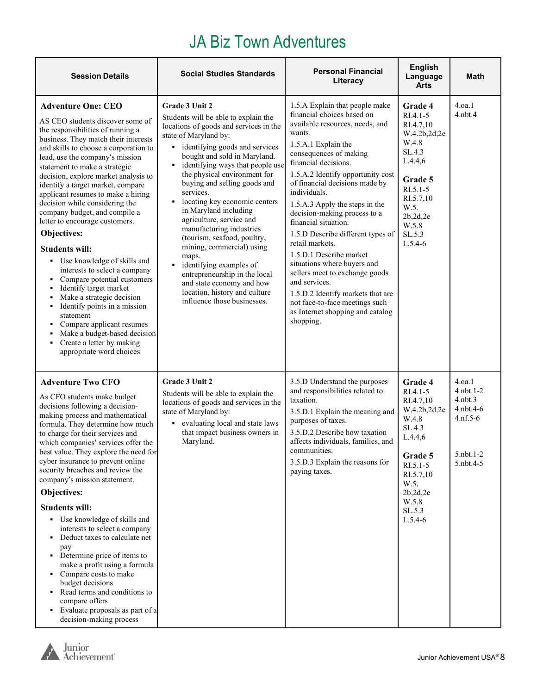### JA Biz Town Adventures

| <b>Session Details</b>                                                                                                                                                                                                                                                                                                                                                                                                                                                                                                                                                                                                                                                                                                                                                                                                                                                   | <b>Social Studies Standards</b>                                                                                                                                                                                                                                                                                                                                                                                                                                                                                                                                                                                                                                     | <b>Personal Financial</b><br>Literacy                                                                                                                                                                                                                                                                                                                                                                                                                                                                                                                                                                                                                            | <b>English</b><br>Language<br><b>Arts</b>                                                                                                                                           | Math                                                                                            |
|--------------------------------------------------------------------------------------------------------------------------------------------------------------------------------------------------------------------------------------------------------------------------------------------------------------------------------------------------------------------------------------------------------------------------------------------------------------------------------------------------------------------------------------------------------------------------------------------------------------------------------------------------------------------------------------------------------------------------------------------------------------------------------------------------------------------------------------------------------------------------|---------------------------------------------------------------------------------------------------------------------------------------------------------------------------------------------------------------------------------------------------------------------------------------------------------------------------------------------------------------------------------------------------------------------------------------------------------------------------------------------------------------------------------------------------------------------------------------------------------------------------------------------------------------------|------------------------------------------------------------------------------------------------------------------------------------------------------------------------------------------------------------------------------------------------------------------------------------------------------------------------------------------------------------------------------------------------------------------------------------------------------------------------------------------------------------------------------------------------------------------------------------------------------------------------------------------------------------------|-------------------------------------------------------------------------------------------------------------------------------------------------------------------------------------|-------------------------------------------------------------------------------------------------|
| <b>Adventure One: CEO</b><br>AS CEO students discover some of<br>the responsibilities of running a<br>business. They match their interests<br>and skills to choose a corporation to<br>lead, use the company's mission<br>statement to make a strategic<br>decision, explore market analysis to<br>identify a target market, compare<br>applicant resumes to make a hiring<br>decision while considering the<br>company budget, and compile a<br>letter to encourage customers.<br>Objectives:<br><b>Students will:</b><br>• Use knowledge of skills and<br>interests to select a company<br>Compare potential customers<br>Identify target market<br>٠<br>Make a strategic decision<br>٠<br>• Identify points in a mission<br>statement<br>Compare applicant resumes<br>Make a budget-based decision<br>٠<br>Create a letter by making<br>٠<br>appropriate word choices | Grade 3 Unit 2<br>Students will be able to explain the<br>locations of goods and services in the<br>state of Maryland by:<br>• identifying goods and services<br>bought and sold in Maryland.<br>identifying ways that people use<br>٠<br>the physical environment for<br>buying and selling goods and<br>services.<br>locating key economic centers<br>in Maryland including<br>agriculture, service and<br>manufacturing industries<br>(tourism, seafood, poultry,<br>mining, commercial) using<br>maps.<br>identifying examples of<br>entrepreneurship in the local<br>and state economy and how<br>location, history and culture<br>influence those businesses. | 1.5.A Explain that people make<br>financial choices based on<br>available resources, needs, and<br>wants.<br>1.5.A.1 Explain the<br>consequences of making<br>financial decisions.<br>1.5.A.2 Identify opportunity cost<br>of financial decisions made by<br>individuals.<br>1.5.A.3 Apply the steps in the<br>decision-making process to a<br>financial situation.<br>1.5.D Describe different types of<br>retail markets.<br>1.5.D.1 Describe market<br>situations where buyers and<br>sellers meet to exchange goods<br>and services.<br>1.5.D.2 Identify markets that are<br>not face-to-face meetings such<br>as Internet shopping and catalog<br>shopping. | <b>Grade 4</b><br>$RI.4.1 - 5$<br>RI.4.7,10<br>W.4.2b,2d,2e<br>W.4.8<br>SL.4.3<br>L.4.4,6<br>Grade 5<br>$RI.5.1-5$<br>RI.5.7,10<br>W.5.<br>2b,2d,2e<br>W.5.8<br>SL.5.3<br>$L.5.4-6$ | 4.0a.1<br>$4.$ nbt. $4$                                                                         |
| <b>Adventure Two CFO</b><br>As CFO students make budget<br>decisions following a decision-<br>making process and mathematical<br>formula. They determine how much<br>to charge for their services and<br>which companies' services offer the<br>best value. They explore the need for<br>cyber insurance to prevent online<br>security breaches and review the<br>company's mission statement.<br>Objectives:<br><b>Students will:</b><br>• Use knowledge of skills and<br>interests to select a company<br>Deduct taxes to calculate net<br>pay<br>• Determine price of items to<br>make a profit using a formula<br>• Compare costs to make<br>budget decisions<br>• Read terms and conditions to<br>compare offers<br>• Evaluate proposals as part of a<br>decision-making process                                                                                    | <b>Grade 3 Unit 2</b><br>Students will be able to explain the<br>locations of goods and services in the<br>state of Maryland by:<br>evaluating local and state laws<br>٠.<br>that impact business owners in<br>Maryland.                                                                                                                                                                                                                                                                                                                                                                                                                                            | 3.5.D Understand the purposes<br>and responsibilities related to<br>taxation.<br>3.5.D.1 Explain the meaning and<br>purposes of taxes.<br>3.5.D.2 Describe how taxation<br>affects individuals, families, and<br>communities.<br>3.5.D.3 Explain the reasons for<br>paying taxes.                                                                                                                                                                                                                                                                                                                                                                                | Grade 4<br>$RI.4.1 - 5$<br>RI.4.7,10<br>W.4.2b,2d,2e<br>W.4.8<br>SL.4.3<br>L.4.4,6<br>Grade 5<br>$RI.5.1-5$<br>RI.5.7,10<br>W.5.<br>2b,2d,2e<br>W.5.8<br>SL.5.3<br>$L.5.4-6$        | 4.0a.1<br>$4.$ nbt. $1-2$<br>$4.$ nbt. $3$<br>4.nbt.4-6<br>$4.nf.5-6$<br>5.nbt.1-2<br>5.nbt.4-5 |

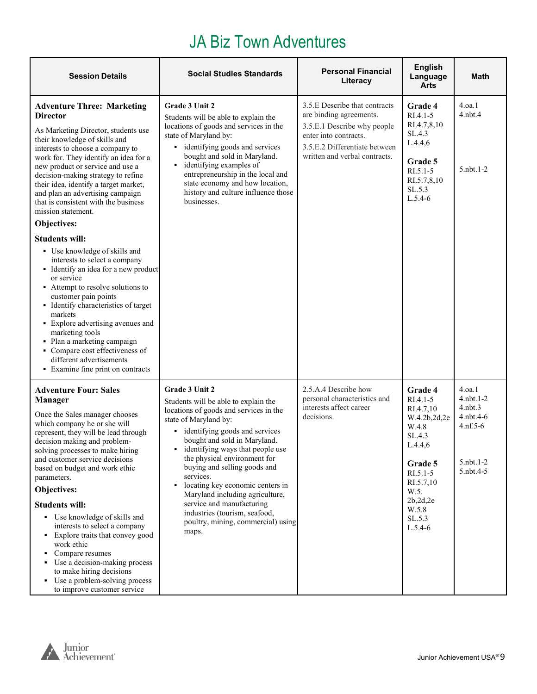### JA Biz Town Adventures

| <b>Session Details</b>                                                                                                                                                                                                                                                                                                                                                                                                                                                                                                                                                                                                              | <b>Social Studies Standards</b>                                                                                                                                                                                                                                                                                                                                                                                                                                                                           | <b>Personal Financial</b><br>Literacy                                                                                                                                              | <b>English</b><br>Language<br><b>Arts</b>                                                                                                                                         | Math                                                                                      |
|-------------------------------------------------------------------------------------------------------------------------------------------------------------------------------------------------------------------------------------------------------------------------------------------------------------------------------------------------------------------------------------------------------------------------------------------------------------------------------------------------------------------------------------------------------------------------------------------------------------------------------------|-----------------------------------------------------------------------------------------------------------------------------------------------------------------------------------------------------------------------------------------------------------------------------------------------------------------------------------------------------------------------------------------------------------------------------------------------------------------------------------------------------------|------------------------------------------------------------------------------------------------------------------------------------------------------------------------------------|-----------------------------------------------------------------------------------------------------------------------------------------------------------------------------------|-------------------------------------------------------------------------------------------|
| <b>Adventure Three: Marketing</b><br><b>Director</b><br>As Marketing Director, students use<br>their knowledge of skills and<br>interests to choose a company to<br>work for. They identify an idea for a<br>new product or service and use a<br>decision-making strategy to refine<br>their idea, identify a target market,<br>and plan an advertising campaign<br>that is consistent with the business<br>mission statement.<br>Objectives:                                                                                                                                                                                       | Grade 3 Unit 2<br>Students will be able to explain the<br>locations of goods and services in the<br>state of Maryland by:<br>• identifying goods and services<br>bought and sold in Maryland.<br>identifying examples of<br>٠<br>entrepreneurship in the local and<br>state economy and how location,<br>history and culture influence those<br>businesses.                                                                                                                                               | 3.5.E Describe that contracts<br>are binding agreements.<br>3.5.E.1 Describe why people<br>enter into contracts.<br>3.5.E.2 Differentiate between<br>written and verbal contracts. | <b>Grade 4</b><br>RI.4.1-5<br>RI.4.7,8,10<br>SL.4.3<br>L.4.4,6<br>Grade 5<br>$RI.5.1 - 5$<br>RI.5.7,8,10<br>SL.5.3<br>$L.5.4-6$                                                   | 4.oa.1<br>$4.$ n $bt.4$<br>5.nbt.1-2                                                      |
| <b>Students will:</b><br>• Use knowledge of skills and<br>interests to select a company<br>• Identify an idea for a new product<br>or service<br>• Attempt to resolve solutions to<br>customer pain points<br>• Identify characteristics of target<br>markets<br>• Explore advertising avenues and<br>marketing tools<br>• Plan a marketing campaign<br>• Compare cost effectiveness of<br>different advertisements<br>• Examine fine print on contracts                                                                                                                                                                            |                                                                                                                                                                                                                                                                                                                                                                                                                                                                                                           |                                                                                                                                                                                    |                                                                                                                                                                                   |                                                                                           |
| <b>Adventure Four: Sales</b><br><b>Manager</b><br>Once the Sales manager chooses<br>which company he or she will<br>represent, they will be lead through<br>decision making and problem-<br>solving processes to make hiring<br>and customer service decisions<br>based on budget and work ethic<br>parameters.<br>Objectives:<br><b>Students will:</b><br>• Use knowledge of skills and<br>interests to select a company<br>• Explore traits that convey good<br>work ethic<br>Compare resumes<br>٠<br>Use a decision-making process<br>to make hiring decisions<br>• Use a problem-solving process<br>to improve customer service | Grade 3 Unit 2<br>Students will be able to explain the<br>locations of goods and services in the<br>state of Maryland by:<br>• identifying goods and services<br>bought and sold in Maryland.<br>• identifying ways that people use<br>the physical environment for<br>buying and selling goods and<br>services.<br>locating key economic centers in<br>٠<br>Maryland including agriculture,<br>service and manufacturing<br>industries (tourism, seafood,<br>poultry, mining, commercial) using<br>maps. | 2.5.A.4 Describe how<br>personal characteristics and<br>interests affect career<br>decisions.                                                                                      | <b>Grade 4</b><br>RI.4.1-5<br>RI.4.7,10<br>W.4.2b,2d,2e<br>W.4.8<br>SL.4.3<br>L.4.4,6<br>Grade 5<br>$RI.5.1 - 5$<br>RI.5.7,10<br>W.5.<br>2b,2d,2e<br>W.5.8<br>SL.5.3<br>$L.5.4-6$ | 4.oa.1<br>$4.$ nbt. $1-2$<br>4.nbt.3<br>4.nbt.4-6<br>$4.nf.5-6$<br>5.nbt.1-2<br>5.nbt.4-5 |

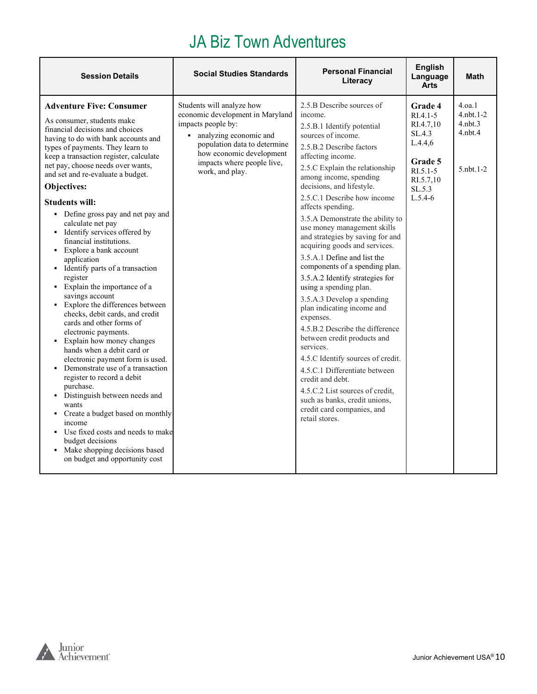### JA Biz Town Adventures

| <b>Session Details</b>                                                                                                                                                                                                                                                                                                                                                                                                                                                                                                                                                                                                                                                                                                                                                                                                                                                                                                                                                                                                                                                                                                                                      | <b>Social Studies Standards</b>                                                                                                                                                                                              | <b>Personal Financial</b><br>Literacy                                                                                                                                                                                                                                                                                                                                                                                                                                                                                                                                                                                                                                                                                                                                                                                                                                                                                              | <b>English</b><br>Language<br><b>Arts</b>                                                                              | <b>Math</b>                                                                |
|-------------------------------------------------------------------------------------------------------------------------------------------------------------------------------------------------------------------------------------------------------------------------------------------------------------------------------------------------------------------------------------------------------------------------------------------------------------------------------------------------------------------------------------------------------------------------------------------------------------------------------------------------------------------------------------------------------------------------------------------------------------------------------------------------------------------------------------------------------------------------------------------------------------------------------------------------------------------------------------------------------------------------------------------------------------------------------------------------------------------------------------------------------------|------------------------------------------------------------------------------------------------------------------------------------------------------------------------------------------------------------------------------|------------------------------------------------------------------------------------------------------------------------------------------------------------------------------------------------------------------------------------------------------------------------------------------------------------------------------------------------------------------------------------------------------------------------------------------------------------------------------------------------------------------------------------------------------------------------------------------------------------------------------------------------------------------------------------------------------------------------------------------------------------------------------------------------------------------------------------------------------------------------------------------------------------------------------------|------------------------------------------------------------------------------------------------------------------------|----------------------------------------------------------------------------|
| <b>Adventure Five: Consumer</b><br>As consumer, students make<br>financial decisions and choices<br>having to do with bank accounts and<br>types of payments. They learn to<br>keep a transaction register, calculate<br>net pay, choose needs over wants,<br>and set and re-evaluate a budget.<br>Objectives:<br><b>Students will:</b><br>• Define gross pay and net pay and<br>calculate net pay<br>• Identify services offered by<br>financial institutions.<br>• Explore a bank account<br>application<br>• Identify parts of a transaction<br>register<br>• Explain the importance of a<br>savings account<br>• Explore the differences between<br>checks, debit cards, and credit<br>cards and other forms of<br>electronic payments.<br>Explain how money changes<br>hands when a debit card or<br>electronic payment form is used.<br>Demonstrate use of a transaction<br>٠<br>register to record a debit<br>purchase.<br>• Distinguish between needs and<br>wants<br>Create a budget based on monthly<br>٠<br>income<br>Use fixed costs and needs to make<br>budget decisions<br>• Make shopping decisions based<br>on budget and opportunity cost | Students will analyze how<br>economic development in Maryland<br>impacts people by:<br>• analyzing economic and<br>population data to determine<br>how economic development<br>impacts where people live,<br>work, and play. | 2.5.B Describe sources of<br>income.<br>2.5.B.1 Identify potential<br>sources of income.<br>2.5.B.2 Describe factors<br>affecting income.<br>2.5.C Explain the relationship<br>among income, spending<br>decisions, and lifestyle.<br>2.5.C.1 Describe how income<br>affects spending.<br>3.5.A Demonstrate the ability to<br>use money management skills<br>and strategies by saving for and<br>acquiring goods and services.<br>3.5.A.1 Define and list the<br>components of a spending plan.<br>3.5.A.2 Identify strategies for<br>using a spending plan.<br>3.5.A.3 Develop a spending<br>plan indicating income and<br>expenses.<br>4.5.B.2 Describe the difference<br>between credit products and<br>services.<br>4.5.C Identify sources of credit.<br>4.5.C.1 Differentiate between<br>credit and debt.<br>4.5.C.2 List sources of credit,<br>such as banks, credit unions,<br>credit card companies, and<br>retail stores. | Grade 4<br>$R1.4.1-5$<br>RI.4.7,10<br>SL.4.3<br>L.4.4,6<br>Grade 5<br>$RI.5.1 - 5$<br>RI.5.7,10<br>SL.5.3<br>$L.5.4-6$ | 4.0a.1<br>$4.$ nbt. $1-2$<br>$4.$ nbt $.3$<br>$4.$ nbt. $4$<br>5. nbt. 1-2 |
|                                                                                                                                                                                                                                                                                                                                                                                                                                                                                                                                                                                                                                                                                                                                                                                                                                                                                                                                                                                                                                                                                                                                                             |                                                                                                                                                                                                                              |                                                                                                                                                                                                                                                                                                                                                                                                                                                                                                                                                                                                                                                                                                                                                                                                                                                                                                                                    |                                                                                                                        |                                                                            |

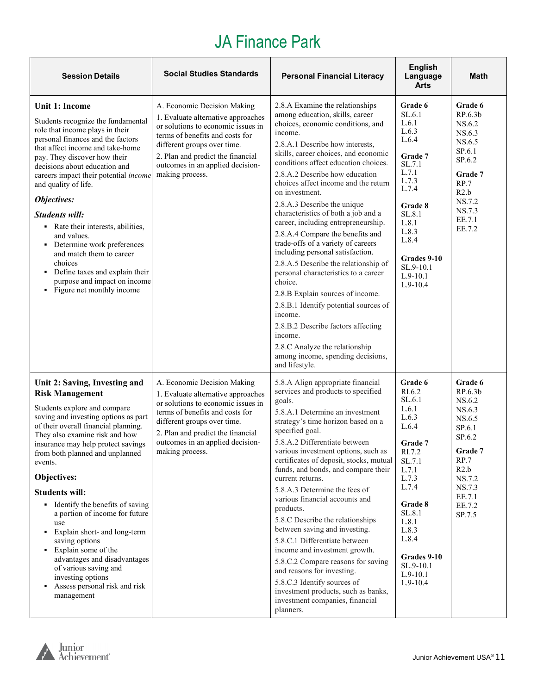| <b>Session Details</b>                                                                                                                                                                                                                                                                                                                                                                                                                                                                                                                                                                                                                | <b>Social Studies Standards</b>                                                                                                                                                                                                                                       | <b>Personal Financial Literacy</b>                                                                                                                                                                                                                                                                                                                                                                                                                                                                                                                                                                                                                                                                                                                                                                                                                                                        | <b>English</b><br>Language<br><b>Arts</b>                                                                                                                                                                                | Math                                                                                                                                              |
|---------------------------------------------------------------------------------------------------------------------------------------------------------------------------------------------------------------------------------------------------------------------------------------------------------------------------------------------------------------------------------------------------------------------------------------------------------------------------------------------------------------------------------------------------------------------------------------------------------------------------------------|-----------------------------------------------------------------------------------------------------------------------------------------------------------------------------------------------------------------------------------------------------------------------|-------------------------------------------------------------------------------------------------------------------------------------------------------------------------------------------------------------------------------------------------------------------------------------------------------------------------------------------------------------------------------------------------------------------------------------------------------------------------------------------------------------------------------------------------------------------------------------------------------------------------------------------------------------------------------------------------------------------------------------------------------------------------------------------------------------------------------------------------------------------------------------------|--------------------------------------------------------------------------------------------------------------------------------------------------------------------------------------------------------------------------|---------------------------------------------------------------------------------------------------------------------------------------------------|
| <b>Unit 1: Income</b><br>Students recognize the fundamental<br>role that income plays in their<br>personal finances and the factors<br>that affect income and take-home<br>pay. They discover how their<br>decisions about education and<br>careers impact their potential income<br>and quality of life.<br>Objectives:<br><b>Students will:</b><br>• Rate their interests, abilities,<br>and values.<br>• Determine work preferences<br>and match them to career<br>choices<br>Define taxes and explain their<br>٠<br>purpose and impact on income<br>• Figure net monthly income                                                   | A. Economic Decision Making<br>1. Evaluate alternative approaches<br>or solutions to economic issues in<br>terms of benefits and costs for<br>different groups over time.<br>2. Plan and predict the financial<br>outcomes in an applied decision-<br>making process. | 2.8.A Examine the relationships<br>among education, skills, career<br>choices, economic conditions, and<br>income.<br>2.8.A.1 Describe how interests,<br>skills, career choices, and economic<br>conditions affect education choices.<br>2.8.A.2 Describe how education<br>choices affect income and the return<br>on investment.<br>2.8.A.3 Describe the unique<br>characteristics of both a job and a<br>career, including entrepreneurship.<br>2.8.A.4 Compare the benefits and<br>trade-offs of a variety of careers<br>including personal satisfaction.<br>2.8.A.5 Describe the relationship of<br>personal characteristics to a career<br>choice.<br>2.8.B Explain sources of income.<br>2.8.B.1 Identify potential sources of<br>income.<br>2.8.B.2 Describe factors affecting<br>income.<br>2.8.C Analyze the relationship<br>among income, spending decisions,<br>and lifestyle. | Grade 6<br>SL.6.1<br>L.6.1<br>L.6.3<br>L.6.4<br>Grade 7<br>SL.7.1<br>L.7.1<br>L.7.3<br>L.7.4<br>Grade 8<br>SL.8.1<br>L.8.1<br>L.8.3<br>L.8.4<br>Grades 9-10<br>SL.9-10.1<br>$L.9-10.1$<br>$L.9-10.4$                     | Grade 6<br>RP.6.3b<br>NS.6.2<br>NS.6.3<br>NS.6.5<br>SP.6.1<br>SP.6.2<br>Grade 7<br>RP.7<br>R2.b<br>NS.7.2<br>NS.7.3<br>EE.7.1<br>EE.7.2           |
| Unit 2: Saving, Investing and<br><b>Risk Management</b><br>Students explore and compare<br>saving and investing options as part<br>of their overall financial planning.<br>They also examine risk and how<br>insurance may help protect savings<br>from both planned and unplanned<br>events.<br>Objectives:<br><b>Students will:</b><br>• Identify the benefits of saving<br>a portion of income for future<br>use<br>• Explain short- and long-term<br>saving options<br>Explain some of the<br>٠<br>advantages and disadvantages<br>of various saving and<br>investing options<br>Assess personal risk and risk<br>٠<br>management | A. Economic Decision Making<br>1. Evaluate alternative approaches<br>or solutions to economic issues in<br>terms of benefits and costs for<br>different groups over time.<br>2. Plan and predict the financial<br>outcomes in an applied decision-<br>making process. | 5.8.A Align appropriate financial<br>services and products to specified<br>goals.<br>5.8.A.1 Determine an investment<br>strategy's time horizon based on a<br>specified goal.<br>5.8.A.2 Differentiate between<br>various investment options, such as<br>certificates of deposit, stocks, mutual<br>funds, and bonds, and compare their<br>current returns.<br>5.8.A.3 Determine the fees of<br>various financial accounts and<br>products.<br>5.8.C Describe the relationships<br>between saving and investing.<br>5.8.C.1 Differentiate between<br>income and investment growth.<br>5.8.C.2 Compare reasons for saving<br>and reasons for investing.<br>5.8.C.3 Identify sources of<br>investment products, such as banks,<br>investment companies, financial<br>planners.                                                                                                              | Grade 6<br>RI.6.2<br>SL.6.1<br>L.6.1<br>L.6.3<br>L.6.4<br>Grade 7<br>RI.7.2<br>SL.7.1<br>L.7.1<br>L.7.3<br>L.7.4<br>Grade 8<br>SL.8.1<br>L.8.1<br>L.8.3<br>L.8.4<br>Grades 9-10<br>SL.9-10.1<br>$L.9-10.1$<br>$L.9-10.4$ | Grade 6<br>RP.6.3b<br>NS.6.2<br>NS.6.3<br>NS.6.5<br>SP.6.1<br>SP.6.2<br>Grade 7<br>RP.7<br>R2.b<br>NS.7.2<br>NS.7.3<br>EE.7.1<br>EE.7.2<br>SP.7.5 |

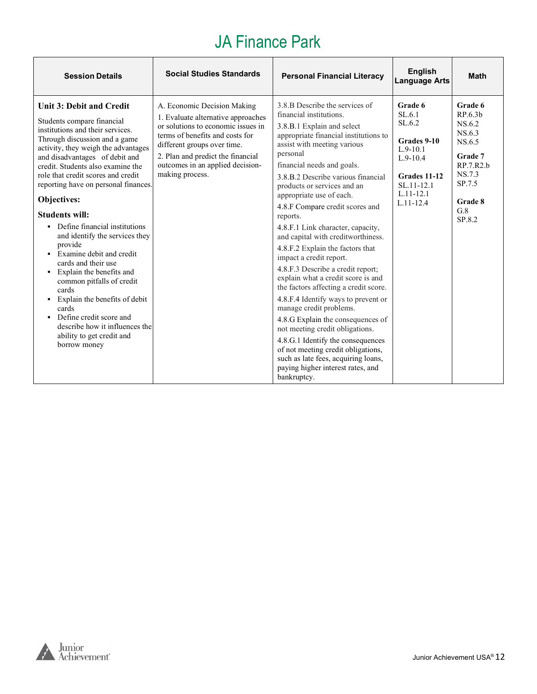| <b>Session Details</b>                                                                                                                                                                                                                                                                                                                                                                                                                                                                                                                                                                                                                                                                                                                     | <b>Social Studies Standards</b>                                                                                                                                                                                                                                       | <b>Personal Financial Literacy</b>                                                                                                                                                                                                                                                                                                                                                                                                                                                                                                                                                                                                                                                                                                                                                                                                                                                                                                      | <b>English</b><br><b>Language Arts</b>                                                                                                 | <b>Math</b>                                                                                                              |
|--------------------------------------------------------------------------------------------------------------------------------------------------------------------------------------------------------------------------------------------------------------------------------------------------------------------------------------------------------------------------------------------------------------------------------------------------------------------------------------------------------------------------------------------------------------------------------------------------------------------------------------------------------------------------------------------------------------------------------------------|-----------------------------------------------------------------------------------------------------------------------------------------------------------------------------------------------------------------------------------------------------------------------|-----------------------------------------------------------------------------------------------------------------------------------------------------------------------------------------------------------------------------------------------------------------------------------------------------------------------------------------------------------------------------------------------------------------------------------------------------------------------------------------------------------------------------------------------------------------------------------------------------------------------------------------------------------------------------------------------------------------------------------------------------------------------------------------------------------------------------------------------------------------------------------------------------------------------------------------|----------------------------------------------------------------------------------------------------------------------------------------|--------------------------------------------------------------------------------------------------------------------------|
| <b>Unit 3: Debit and Credit</b><br>Students compare financial<br>institutions and their services.<br>Through discussion and a game<br>activity, they weigh the advantages<br>and disadvantages of debit and<br>credit. Students also examine the<br>role that credit scores and credit<br>reporting have on personal finances.<br>Objectives:<br><b>Students will:</b><br>• Define financial institutions<br>and identify the services they<br>provide<br>• Examine debit and credit<br>cards and their use<br>• Explain the benefits and<br>common pitfalls of credit<br>cards<br>Explain the benefits of debit<br>٠<br>cards<br>• Define credit score and<br>describe how it influences the<br>ability to get credit and<br>borrow money | A. Economic Decision Making<br>1. Evaluate alternative approaches<br>or solutions to economic issues in<br>terms of benefits and costs for<br>different groups over time.<br>2. Plan and predict the financial<br>outcomes in an applied decision-<br>making process. | 3.8.B Describe the services of<br>financial institutions.<br>3.8.B.1 Explain and select<br>appropriate financial institutions to<br>assist with meeting various<br>personal<br>financial needs and goals.<br>3.8.B.2 Describe various financial<br>products or services and an<br>appropriate use of each.<br>4.8.F Compare credit scores and<br>reports.<br>4.8.F.1 Link character, capacity,<br>and capital with creditworthiness.<br>4.8.F.2 Explain the factors that<br>impact a credit report.<br>4.8.F.3 Describe a credit report;<br>explain what a credit score is and<br>the factors affecting a credit score.<br>4.8.F.4 Identify ways to prevent or<br>manage credit problems.<br>4.8.G Explain the consequences of<br>not meeting credit obligations.<br>4.8.G.1 Identify the consequences<br>of not meeting credit obligations,<br>such as late fees, acquiring loans,<br>paying higher interest rates, and<br>bankruptcy. | Grade 6<br>SL.6.1<br>SL.6.2<br>Grades 9-10<br>$L.9-10.1$<br>$L.9-10.4$<br>Grades 11-12<br>SL.11-12.1<br>$L.11 - 12.1$<br>$L.11 - 12.4$ | Grade 6<br>RP.6.3b<br>NS.6.2<br>NS.6.3<br>NS.6.5<br>Grade 7<br>RP.7.R2.b<br>NS.7.3<br>SP.7.5<br>Grade 8<br>G.8<br>SP.8.2 |

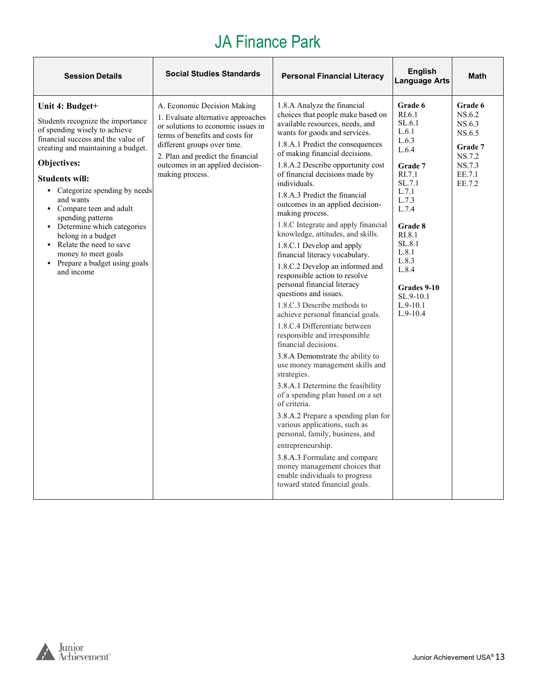| <b>Session Details</b>                                                                                                                                                                                                                                                                                                                                                                                                                                              | <b>Social Studies Standards</b>                                                                                                                                                                                                                                       | <b>Personal Financial Literacy</b>                                                                                                                                                                                                                                                                                                                                                                                                                                                                                                                                                                                                                                                                                                                                                                                                                                                                                                                                                                                                                                                                                                                                                                                                                                                   | <b>English</b><br><b>Language Arts</b>                                                                                                                                                                                                    | <b>Math</b>                                                                              |
|---------------------------------------------------------------------------------------------------------------------------------------------------------------------------------------------------------------------------------------------------------------------------------------------------------------------------------------------------------------------------------------------------------------------------------------------------------------------|-----------------------------------------------------------------------------------------------------------------------------------------------------------------------------------------------------------------------------------------------------------------------|--------------------------------------------------------------------------------------------------------------------------------------------------------------------------------------------------------------------------------------------------------------------------------------------------------------------------------------------------------------------------------------------------------------------------------------------------------------------------------------------------------------------------------------------------------------------------------------------------------------------------------------------------------------------------------------------------------------------------------------------------------------------------------------------------------------------------------------------------------------------------------------------------------------------------------------------------------------------------------------------------------------------------------------------------------------------------------------------------------------------------------------------------------------------------------------------------------------------------------------------------------------------------------------|-------------------------------------------------------------------------------------------------------------------------------------------------------------------------------------------------------------------------------------------|------------------------------------------------------------------------------------------|
| Unit 4: Budget+<br>Students recognize the importance<br>of spending wisely to achieve<br>financial success and the value of<br>creating and maintaining a budget.<br>Objectives:<br><b>Students will:</b><br>• Categorize spending by needs<br>and wants<br>• Compare teen and adult<br>spending patterns<br>• Determine which categories<br>belong in a budget<br>• Relate the need to save<br>money to meet goals<br>• Prepare a budget using goals<br>and income | A. Economic Decision Making<br>1. Evaluate alternative approaches<br>or solutions to economic issues in<br>terms of benefits and costs for<br>different groups over time.<br>2. Plan and predict the financial<br>outcomes in an applied decision-<br>making process. | 1.8.A Analyze the financial<br>choices that people make based on<br>available resources, needs, and<br>wants for goods and services.<br>1.8.A.1 Predict the consequences<br>of making financial decisions.<br>1.8.A.2 Describe opportunity cost<br>of financial decisions made by<br>individuals.<br>1.8.A.3 Predict the financial<br>outcomes in an applied decision-<br>making process.<br>1.8.C Integrate and apply financial<br>knowledge, attitudes, and skills.<br>1.8.C.1 Develop and apply<br>financial literacy vocabulary.<br>1.8.C.2 Develop an informed and<br>responsible action to resolve<br>personal financial literacy<br>questions and issues.<br>1.8.C.3 Describe methods to<br>achieve personal financial goals.<br>1.8.C.4 Differentiate between<br>responsible and irresponsible<br>financial decisions.<br>3.8.A Demonstrate the ability to<br>use money management skills and<br>strategies.<br>3.8.A.1 Determine the feasibility<br>of a spending plan based on a set<br>of criteria.<br>3.8.A.2 Prepare a spending plan for<br>various applications, such as<br>personal, family, business, and<br>entrepreneurship.<br>3.8.A.3 Formulate and compare<br>money management choices that<br>enable individuals to progress<br>toward stated financial goals. | Grade 6<br>RI.6.1<br>SL.6.1<br>L.6.1<br>L.6.3<br>L.6.4<br>Grade 7<br>RI.7.1<br>SL.7.1<br>L.7.1<br>L.7.3<br>L.7.4<br><b>Grade 8</b><br>RI.8.1<br>SL.8.1<br>L.8.1<br>L.8.3<br>L.8.4<br>Grades 9-10<br>SL.9-10.1<br>$L.9-10.1$<br>$L.9-10.4$ | Grade 6<br>NS.6.2<br>NS.6.3<br>NS.6.5<br>Grade 7<br>NS.7.2<br>NS.7.3<br>EE.7.1<br>EE.7.2 |

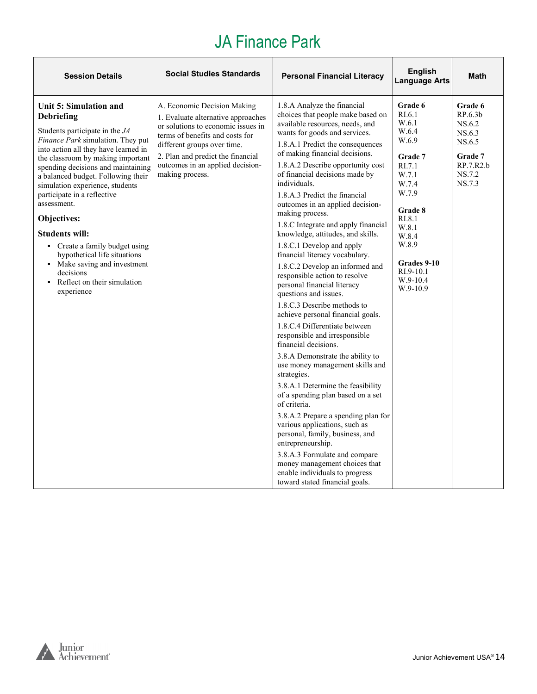| <b>Session Details</b>                                                                                                                                                                                                                                                                                                                                                                                                                                                                                                                                             | <b>Social Studies Standards</b>                                                                                                                                                                                                                                       | <b>Personal Financial Literacy</b>                                                                                                                                                                                                                                                                                                                                                                                                                                                                                                                                                                                                                                                                                                                                                                                                                                                                                                                                                                                                                                                                                                                                                                                                                                                   | <b>English</b><br><b>Language Arts</b>                                                                                                                                                                 | <b>Math</b>                                                                                  |
|--------------------------------------------------------------------------------------------------------------------------------------------------------------------------------------------------------------------------------------------------------------------------------------------------------------------------------------------------------------------------------------------------------------------------------------------------------------------------------------------------------------------------------------------------------------------|-----------------------------------------------------------------------------------------------------------------------------------------------------------------------------------------------------------------------------------------------------------------------|--------------------------------------------------------------------------------------------------------------------------------------------------------------------------------------------------------------------------------------------------------------------------------------------------------------------------------------------------------------------------------------------------------------------------------------------------------------------------------------------------------------------------------------------------------------------------------------------------------------------------------------------------------------------------------------------------------------------------------------------------------------------------------------------------------------------------------------------------------------------------------------------------------------------------------------------------------------------------------------------------------------------------------------------------------------------------------------------------------------------------------------------------------------------------------------------------------------------------------------------------------------------------------------|--------------------------------------------------------------------------------------------------------------------------------------------------------------------------------------------------------|----------------------------------------------------------------------------------------------|
| Unit 5: Simulation and<br><b>Debriefing</b><br>Students participate in the JA<br>Finance Park simulation. They put<br>into action all they have learned in<br>the classroom by making important<br>spending decisions and maintaining<br>a balanced budget. Following their<br>simulation experience, students<br>participate in a reflective<br>assessment.<br>Objectives:<br><b>Students will:</b><br>• Create a family budget using<br>hypothetical life situations<br>• Make saving and investment<br>decisions<br>• Reflect on their simulation<br>experience | A. Economic Decision Making<br>1. Evaluate alternative approaches<br>or solutions to economic issues in<br>terms of benefits and costs for<br>different groups over time.<br>2. Plan and predict the financial<br>outcomes in an applied decision-<br>making process. | 1.8.A Analyze the financial<br>choices that people make based on<br>available resources, needs, and<br>wants for goods and services.<br>1.8.A.1 Predict the consequences<br>of making financial decisions.<br>1.8.A.2 Describe opportunity cost<br>of financial decisions made by<br>individuals.<br>1.8.A.3 Predict the financial<br>outcomes in an applied decision-<br>making process.<br>1.8.C Integrate and apply financial<br>knowledge, attitudes, and skills.<br>1.8.C.1 Develop and apply<br>financial literacy vocabulary.<br>1.8.C.2 Develop an informed and<br>responsible action to resolve<br>personal financial literacy<br>questions and issues.<br>1.8.C.3 Describe methods to<br>achieve personal financial goals.<br>1.8.C.4 Differentiate between<br>responsible and irresponsible<br>financial decisions.<br>3.8.A Demonstrate the ability to<br>use money management skills and<br>strategies.<br>3.8.A.1 Determine the feasibility<br>of a spending plan based on a set<br>of criteria.<br>3.8.A.2 Prepare a spending plan for<br>various applications, such as<br>personal, family, business, and<br>entrepreneurship.<br>3.8.A.3 Formulate and compare<br>money management choices that<br>enable individuals to progress<br>toward stated financial goals. | Grade 6<br>RI.6.1<br>W.6.1<br>W.6.4<br>W.6.9<br>Grade 7<br>RI.7.1<br>W.7.1<br>W.7.4<br>W.7.9<br>Grade 8<br>RI.8.1<br>W.8.1<br>W.8.4<br>W.8.9<br>Grades 9-10<br>$RI.9-10.1$<br>$W.9-10.4$<br>$W.9-10.9$ | Grade 6<br>RP.6.3b<br>NS.6.2<br>NS.6.3<br>NS.6.5<br>Grade 7<br>RP.7.R2.b<br>NS.7.2<br>NS.7.3 |

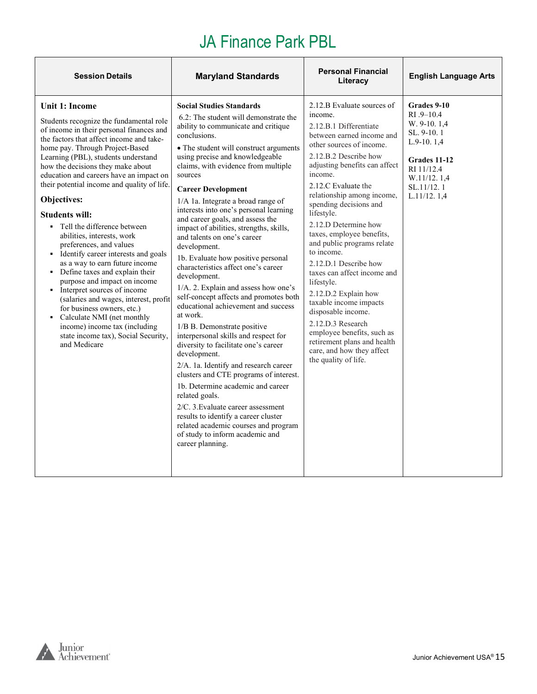| <b>Session Details</b>                                                                                                                                                                                                                                                                                                                                                                                                                                                                                                                                                                                                                                                                                                                                                                                                                                                           | <b>Maryland Standards</b>                                                                                                                                                                                                                                                                                                                                                                                                                                                                                                                                                                                                                                                                                                                                                                                                                                                                                                                                                                                                                                                                                                                                                                         | <b>Personal Financial</b><br>Literacy                                                                                                                                                                                                                                                                                                                                                                                                                                                                                                                                                                                                                                            | <b>English Language Arts</b>                                                                                                                         |
|----------------------------------------------------------------------------------------------------------------------------------------------------------------------------------------------------------------------------------------------------------------------------------------------------------------------------------------------------------------------------------------------------------------------------------------------------------------------------------------------------------------------------------------------------------------------------------------------------------------------------------------------------------------------------------------------------------------------------------------------------------------------------------------------------------------------------------------------------------------------------------|---------------------------------------------------------------------------------------------------------------------------------------------------------------------------------------------------------------------------------------------------------------------------------------------------------------------------------------------------------------------------------------------------------------------------------------------------------------------------------------------------------------------------------------------------------------------------------------------------------------------------------------------------------------------------------------------------------------------------------------------------------------------------------------------------------------------------------------------------------------------------------------------------------------------------------------------------------------------------------------------------------------------------------------------------------------------------------------------------------------------------------------------------------------------------------------------------|----------------------------------------------------------------------------------------------------------------------------------------------------------------------------------------------------------------------------------------------------------------------------------------------------------------------------------------------------------------------------------------------------------------------------------------------------------------------------------------------------------------------------------------------------------------------------------------------------------------------------------------------------------------------------------|------------------------------------------------------------------------------------------------------------------------------------------------------|
| <b>Unit 1: Income</b><br>Students recognize the fundamental role<br>of income in their personal finances and<br>the factors that affect income and take-<br>home pay. Through Project-Based<br>Learning (PBL), students understand<br>how the decisions they make about<br>education and careers have an impact on<br>their potential income and quality of life.<br>Objectives:<br><b>Students will:</b><br>• Tell the difference between<br>abilities, interests, work<br>preferences, and values<br>Identify career interests and goals<br>as a way to earn future income<br>• Define taxes and explain their<br>purpose and impact on income<br>• Interpret sources of income<br>(salaries and wages, interest, profit<br>for business owners, etc.)<br>• Calculate NMI (net monthly<br>income) income tax (including<br>state income tax), Social Security,<br>and Medicare | <b>Social Studies Standards</b><br>6.2: The student will demonstrate the<br>ability to communicate and critique<br>conclusions.<br>• The student will construct arguments<br>using precise and knowledgeable<br>claims, with evidence from multiple<br>sources<br><b>Career Development</b><br>1/A 1a. Integrate a broad range of<br>interests into one's personal learning<br>and career goals, and assess the<br>impact of abilities, strengths, skills,<br>and talents on one's career<br>development.<br>1b. Evaluate how positive personal<br>characteristics affect one's career<br>development.<br>1/A. 2. Explain and assess how one's<br>self-concept affects and promotes both<br>educational achievement and success<br>at work.<br>1/B B. Demonstrate positive<br>interpersonal skills and respect for<br>diversity to facilitate one's career<br>development.<br>2/A. 1a. Identify and research career<br>clusters and CTE programs of interest.<br>1b. Determine academic and career<br>related goals.<br>2/C. 3. Evaluate career assessment<br>results to identify a career cluster<br>related academic courses and program<br>of study to inform academic and<br>career planning. | 2.12.B Evaluate sources of<br>income.<br>2.12.B.1 Differentiate<br>between earned income and<br>other sources of income.<br>2.12.B.2 Describe how<br>adjusting benefits can affect<br>income.<br>2.12.C Evaluate the<br>relationship among income,<br>spending decisions and<br>lifestyle.<br>2.12.D Determine how<br>taxes, employee benefits,<br>and public programs relate<br>to income.<br>2.12.D.1 Describe how<br>taxes can affect income and<br>lifestyle.<br>2.12.D.2 Explain how<br>taxable income impacts<br>disposable income.<br>2.12.D.3 Research<br>employee benefits, such as<br>retirement plans and health<br>care, and how they affect<br>the quality of life. | Grades 9-10<br>$RI.9 - 10.4$<br>W. 9-10. 1.4<br>SL. 9-10.1<br>$L.9-10.1,4$<br>Grades 11-12<br>RI 11/12.4<br>W.11/12.1.4<br>SL.11/12.1<br>L.11/12.1,4 |

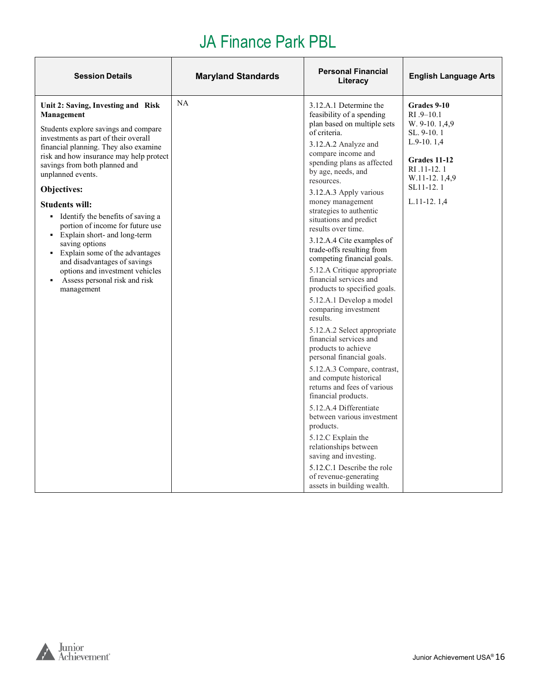| <b>Session Details</b>                                                                                                                                                                                                                                                                                                                                                                                                                                                                                                                                                                                  | <b>Maryland Standards</b> | <b>Personal Financial</b><br>Literacy                                                                                                                                                                                                                                                                                                                                                                                                                                                                                                                                                                                                                                                                                                                              | <b>English Language Arts</b>                                                                                                                             |
|---------------------------------------------------------------------------------------------------------------------------------------------------------------------------------------------------------------------------------------------------------------------------------------------------------------------------------------------------------------------------------------------------------------------------------------------------------------------------------------------------------------------------------------------------------------------------------------------------------|---------------------------|--------------------------------------------------------------------------------------------------------------------------------------------------------------------------------------------------------------------------------------------------------------------------------------------------------------------------------------------------------------------------------------------------------------------------------------------------------------------------------------------------------------------------------------------------------------------------------------------------------------------------------------------------------------------------------------------------------------------------------------------------------------------|----------------------------------------------------------------------------------------------------------------------------------------------------------|
| Unit 2: Saving, Investing and Risk<br>Management<br>Students explore savings and compare<br>investments as part of their overall<br>financial planning. They also examine<br>risk and how insurance may help protect<br>savings from both planned and<br>unplanned events.<br>Objectives:<br><b>Students will:</b><br>• Identify the benefits of saving a<br>portion of income for future use<br>• Explain short- and long-term<br>saving options<br>• Explain some of the advantages<br>and disadvantages of savings<br>options and investment vehicles<br>Assess personal risk and risk<br>management | NA                        | 3.12.A.1 Determine the<br>feasibility of a spending<br>plan based on multiple sets<br>of criteria.<br>3.12.A.2 Analyze and<br>compare income and<br>spending plans as affected<br>by age, needs, and<br>resources.<br>3.12.A.3 Apply various<br>money management<br>strategies to authentic<br>situations and predict<br>results over time.<br>3.12.A.4 Cite examples of<br>trade-offs resulting from<br>competing financial goals.<br>5.12.A Critique appropriate<br>financial services and<br>products to specified goals.<br>5.12.A.1 Develop a model<br>comparing investment<br>results.<br>5.12.A.2 Select appropriate<br>financial services and<br>products to achieve<br>personal financial goals.<br>5.12.A.3 Compare, contrast,<br>and compute historical | Grades 9-10<br>$RI.9-10.1$<br>W. 9-10. 1,4,9<br>SL. 9-10.1<br>$L.9-10.1,4$<br>Grades 11-12<br>RI .11-12.1<br>W.11-12.1,4,9<br>SL11-12.1<br>$L.11-12.1,4$ |
|                                                                                                                                                                                                                                                                                                                                                                                                                                                                                                                                                                                                         |                           | returns and fees of various<br>financial products.<br>5.12.A.4 Differentiate<br>between various investment<br>products.<br>5.12.C Explain the<br>relationships between<br>saving and investing.<br>5.12.C.1 Describe the role<br>of revenue-generating<br>assets in building wealth.                                                                                                                                                                                                                                                                                                                                                                                                                                                                               |                                                                                                                                                          |

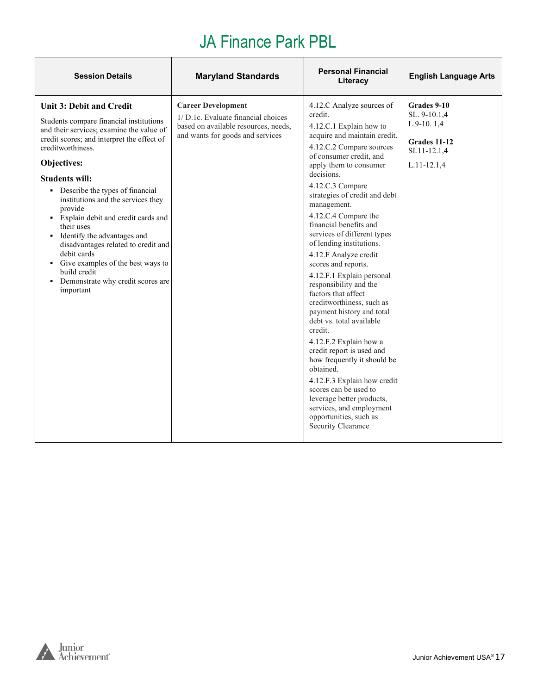| <b>Personal Financial</b><br><b>Session Details</b><br><b>Maryland Standards</b><br><b>English Language Arts</b><br>Literacy                                                                                                                                                                                                                                                                                                                                                                                                                                                                                                                                                                                                                                                                                                                                                                                                                                                                                                                                                                                                                                                                                                                                                                                                                                                                                                                                                                                                                                                                                                                                                                                         |  |
|----------------------------------------------------------------------------------------------------------------------------------------------------------------------------------------------------------------------------------------------------------------------------------------------------------------------------------------------------------------------------------------------------------------------------------------------------------------------------------------------------------------------------------------------------------------------------------------------------------------------------------------------------------------------------------------------------------------------------------------------------------------------------------------------------------------------------------------------------------------------------------------------------------------------------------------------------------------------------------------------------------------------------------------------------------------------------------------------------------------------------------------------------------------------------------------------------------------------------------------------------------------------------------------------------------------------------------------------------------------------------------------------------------------------------------------------------------------------------------------------------------------------------------------------------------------------------------------------------------------------------------------------------------------------------------------------------------------------|--|
| <b>Career Development</b><br>4.12.C Analyze sources of<br>Grades 9-10<br><b>Unit 3: Debit and Credit</b><br>credit.<br>SL. 9-10.1,4<br>1/ D.1c. Evaluate financial choices<br>Students compare financial institutions<br>L.9-10.1,4<br>4.12.C.1 Explain how to<br>based on available resources, needs,<br>and their services; examine the value of<br>and wants for goods and services<br>acquire and maintain credit.<br>credit scores; and interpret the effect of<br>Grades 11-12<br>4.12.C.2 Compare sources<br>creditworthiness.<br>SL11-12.1,4<br>of consumer credit, and<br>Objectives:<br>apply them to consumer<br>$L.11 - 12.1,4$<br>decisions.<br><b>Students will:</b><br>4.12.C.3 Compare<br>• Describe the types of financial<br>strategies of credit and debt<br>institutions and the services they<br>management.<br>provide<br>4.12.C.4 Compare the<br>• Explain debit and credit cards and<br>financial benefits and<br>their uses<br>services of different types<br>• Identify the advantages and<br>of lending institutions.<br>disadvantages related to credit and<br>debit cards<br>4.12.F Analyze credit<br>• Give examples of the best ways to<br>scores and reports.<br>build credit<br>4.12.F.1 Explain personal<br>• Demonstrate why credit scores are<br>responsibility and the<br>important<br>factors that affect<br>creditworthiness, such as<br>payment history and total<br>debt vs. total available<br>credit.<br>4.12.F.2 Explain how a<br>credit report is used and<br>how frequently it should be<br>obtained.<br>4.12.F.3 Explain how credit<br>scores can be used to<br>leverage better products,<br>services, and employment<br>opportunities, such as<br>Security Clearance |  |

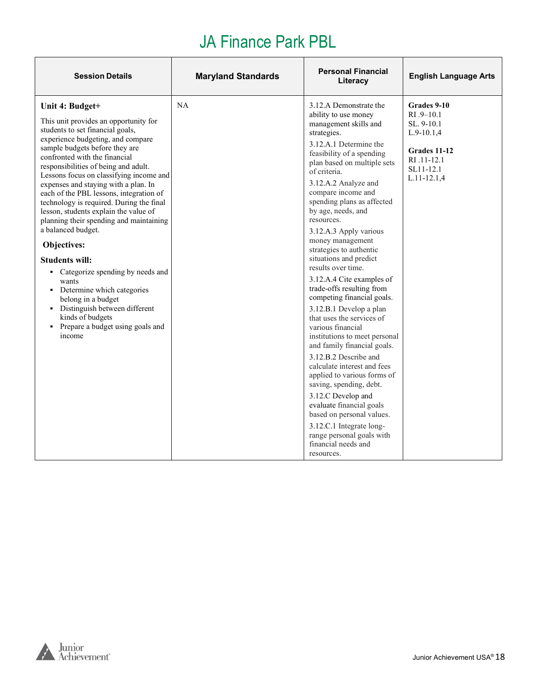| <b>Session Details</b>                                                                                                                                                                                                                                                                                                                                                                                                                                                                                                                                                                                                                                                                                                                                                               | <b>Maryland Standards</b> | <b>Personal Financial</b><br>Literacy                                                                                                                                                                                                                                                                                                                                                                                                                                                                                                                                                                                                                                                                                                                                                                                                                                                                                                                                     | <b>English Language Arts</b>                                                                                              |
|--------------------------------------------------------------------------------------------------------------------------------------------------------------------------------------------------------------------------------------------------------------------------------------------------------------------------------------------------------------------------------------------------------------------------------------------------------------------------------------------------------------------------------------------------------------------------------------------------------------------------------------------------------------------------------------------------------------------------------------------------------------------------------------|---------------------------|---------------------------------------------------------------------------------------------------------------------------------------------------------------------------------------------------------------------------------------------------------------------------------------------------------------------------------------------------------------------------------------------------------------------------------------------------------------------------------------------------------------------------------------------------------------------------------------------------------------------------------------------------------------------------------------------------------------------------------------------------------------------------------------------------------------------------------------------------------------------------------------------------------------------------------------------------------------------------|---------------------------------------------------------------------------------------------------------------------------|
| Unit 4: Budget+<br>This unit provides an opportunity for<br>students to set financial goals,<br>experience budgeting, and compare<br>sample budgets before they are<br>confronted with the financial<br>responsibilities of being and adult.<br>Lessons focus on classifying income and<br>expenses and staying with a plan. In<br>each of the PBL lessons, integration of<br>technology is required. During the final<br>lesson, students explain the value of<br>planning their spending and maintaining<br>a balanced budget.<br>Objectives:<br><b>Students will:</b><br>• Categorize spending by needs and<br>wants<br>• Determine which categories<br>belong in a budget<br>• Distinguish between different<br>kinds of budgets<br>• Prepare a budget using goals and<br>income | NA                        | 3.12.A Demonstrate the<br>ability to use money<br>management skills and<br>strategies.<br>3.12.A.1 Determine the<br>feasibility of a spending<br>plan based on multiple sets<br>of criteria.<br>3.12.A.2 Analyze and<br>compare income and<br>spending plans as affected<br>by age, needs, and<br>resources.<br>3.12.A.3 Apply various<br>money management<br>strategies to authentic<br>situations and predict<br>results over time.<br>3.12.A.4 Cite examples of<br>trade-offs resulting from<br>competing financial goals.<br>3.12.B.1 Develop a plan<br>that uses the services of<br>various financial<br>institutions to meet personal<br>and family financial goals.<br>3.12.B.2 Describe and<br>calculate interest and fees<br>applied to various forms of<br>saving, spending, debt.<br>3.12.C Develop and<br>evaluate financial goals<br>based on personal values.<br>3.12.C.1 Integrate long-<br>range personal goals with<br>financial needs and<br>resources. | Grades 9-10<br>$RI.9 - 10.1$<br>SL, 9-10.1<br>$L.9-10.1,4$<br>Grades 11-12<br>RI .11-12.1<br>SL11-12.1<br>$L.11 - 12.1,4$ |

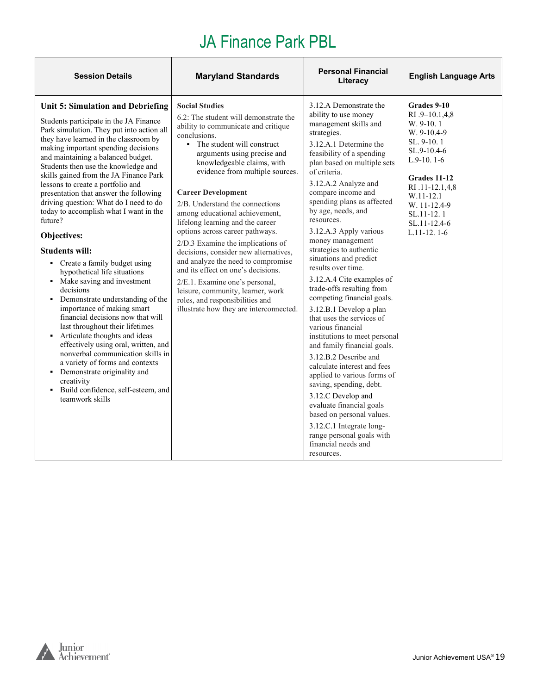| <b>Session Details</b>                                                                                                                                                                                                                                                                                                                                                                                                                                                                                                                                                                                                                                                                                                                                                                                                                                                                                                                                                                                                                                                        | <b>Maryland Standards</b>                                                                                                                                                                                                                                                                                                                                                                                                                                                                                                                                                                                                                                                                                                                     | <b>Personal Financial</b><br>Literacy                                                                                                                                                                                                                                                                                                                                                                                                                                                                                                                                                                                                                                                                                                                                                                                                                                                                                                                                     | <b>English Language Arts</b>                                                                                                                                                                                           |
|-------------------------------------------------------------------------------------------------------------------------------------------------------------------------------------------------------------------------------------------------------------------------------------------------------------------------------------------------------------------------------------------------------------------------------------------------------------------------------------------------------------------------------------------------------------------------------------------------------------------------------------------------------------------------------------------------------------------------------------------------------------------------------------------------------------------------------------------------------------------------------------------------------------------------------------------------------------------------------------------------------------------------------------------------------------------------------|-----------------------------------------------------------------------------------------------------------------------------------------------------------------------------------------------------------------------------------------------------------------------------------------------------------------------------------------------------------------------------------------------------------------------------------------------------------------------------------------------------------------------------------------------------------------------------------------------------------------------------------------------------------------------------------------------------------------------------------------------|---------------------------------------------------------------------------------------------------------------------------------------------------------------------------------------------------------------------------------------------------------------------------------------------------------------------------------------------------------------------------------------------------------------------------------------------------------------------------------------------------------------------------------------------------------------------------------------------------------------------------------------------------------------------------------------------------------------------------------------------------------------------------------------------------------------------------------------------------------------------------------------------------------------------------------------------------------------------------|------------------------------------------------------------------------------------------------------------------------------------------------------------------------------------------------------------------------|
| Unit 5: Simulation and Debriefing<br>Students participate in the JA Finance<br>Park simulation. They put into action all<br>they have learned in the classroom by<br>making important spending decisions<br>and maintaining a balanced budget.<br>Students then use the knowledge and<br>skills gained from the JA Finance Park<br>lessons to create a portfolio and<br>presentation that answer the following<br>driving question: What do I need to do<br>today to accomplish what I want in the<br>future?<br>Objectives:<br><b>Students will:</b><br>• Create a family budget using<br>hypothetical life situations<br>• Make saving and investment<br>decisions<br>• Demonstrate understanding of the<br>importance of making smart<br>financial decisions now that will<br>last throughout their lifetimes<br>• Articulate thoughts and ideas<br>effectively using oral, written, and<br>nonverbal communication skills in<br>a variety of forms and contexts<br>• Demonstrate originality and<br>creativity<br>• Build confidence, self-esteem, and<br>teamwork skills | <b>Social Studies</b><br>6.2: The student will demonstrate the<br>ability to communicate and critique<br>conclusions.<br>• The student will construct<br>arguments using precise and<br>knowledgeable claims, with<br>evidence from multiple sources.<br><b>Career Development</b><br>2/B. Understand the connections<br>among educational achievement,<br>lifelong learning and the career<br>options across career pathways.<br>2/D.3 Examine the implications of<br>decisions, consider new alternatives,<br>and analyze the need to compromise<br>and its effect on one's decisions.<br>2/E.1. Examine one's personal,<br>leisure, community, learner, work<br>roles, and responsibilities and<br>illustrate how they are interconnected. | 3.12.A Demonstrate the<br>ability to use money<br>management skills and<br>strategies.<br>3.12.A.1 Determine the<br>feasibility of a spending<br>plan based on multiple sets<br>of criteria.<br>3.12.A.2 Analyze and<br>compare income and<br>spending plans as affected<br>by age, needs, and<br>resources.<br>3.12.A.3 Apply various<br>money management<br>strategies to authentic<br>situations and predict<br>results over time.<br>3.12.A.4 Cite examples of<br>trade-offs resulting from<br>competing financial goals.<br>3.12.B.1 Develop a plan<br>that uses the services of<br>various financial<br>institutions to meet personal<br>and family financial goals.<br>3.12.B.2 Describe and<br>calculate interest and fees<br>applied to various forms of<br>saving, spending, debt.<br>3.12.C Develop and<br>evaluate financial goals<br>based on personal values.<br>3.12.C.1 Integrate long-<br>range personal goals with<br>financial needs and<br>resources. | Grades 9-10<br>$RI.9-10.1,4.8$<br>W. 9-10.1<br>$W. 9-10.4-9$<br>SL. 9-10.1<br>SL.9-10.4-6<br>$L.9-10.1-6$<br>Grades 11-12<br>RI .11-12.1,4,8<br>W.11-12.1<br>W. 11-12.4-9<br>SL.11-12.1<br>SL.11-12.4-6<br>L.11-12.1-6 |

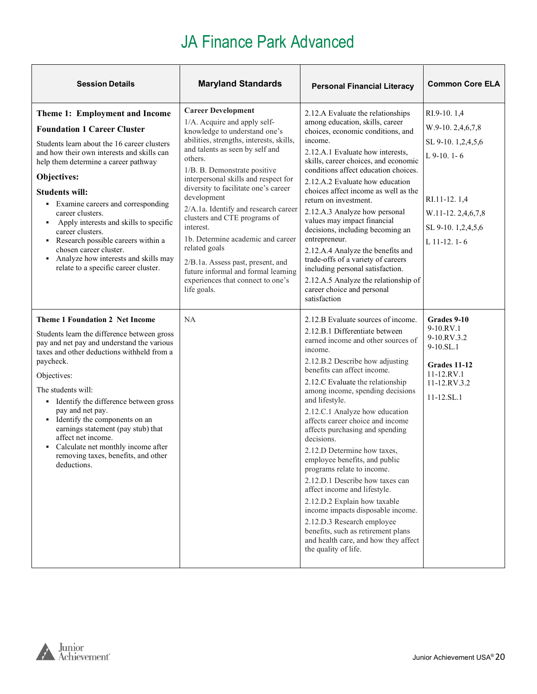| <b>Session Details</b>                                                                                                                                                                                                                                                                                                                                                                                                                                                                                                                           | <b>Maryland Standards</b>                                                                                                                                                                                                                                                                                                                                                                                                                                                                                                                                                                      | <b>Personal Financial Literacy</b>                                                                                                                                                                                                                                                                                                                                                                                                                                                                                                                                                                                                                                                                                                                                                 | <b>Common Core ELA</b>                                                                                                                              |
|--------------------------------------------------------------------------------------------------------------------------------------------------------------------------------------------------------------------------------------------------------------------------------------------------------------------------------------------------------------------------------------------------------------------------------------------------------------------------------------------------------------------------------------------------|------------------------------------------------------------------------------------------------------------------------------------------------------------------------------------------------------------------------------------------------------------------------------------------------------------------------------------------------------------------------------------------------------------------------------------------------------------------------------------------------------------------------------------------------------------------------------------------------|------------------------------------------------------------------------------------------------------------------------------------------------------------------------------------------------------------------------------------------------------------------------------------------------------------------------------------------------------------------------------------------------------------------------------------------------------------------------------------------------------------------------------------------------------------------------------------------------------------------------------------------------------------------------------------------------------------------------------------------------------------------------------------|-----------------------------------------------------------------------------------------------------------------------------------------------------|
| Theme 1: Employment and Income<br><b>Foundation 1 Career Cluster</b><br>Students learn about the 16 career clusters<br>and how their own interests and skills can<br>help them determine a career pathway<br>Objectives:<br><b>Students will:</b><br>• Examine careers and corresponding<br>career clusters.<br>Apply interests and skills to specific<br>$\blacksquare$<br>career clusters.<br>• Research possible careers within a<br>chosen career cluster.<br>• Analyze how interests and skills may<br>relate to a specific career cluster. | <b>Career Development</b><br>1/A. Acquire and apply self-<br>knowledge to understand one's<br>abilities, strengths, interests, skills,<br>and talents as seen by self and<br>others.<br>1/B. B. Demonstrate positive<br>interpersonal skills and respect for<br>diversity to facilitate one's career<br>development<br>2/A.1a. Identify and research career<br>clusters and CTE programs of<br>interest.<br>1b. Determine academic and career<br>related goals<br>2/B.1a. Assess past, present, and<br>future informal and formal learning<br>experiences that connect to one's<br>life goals. | 2.12.A Evaluate the relationships<br>among education, skills, career<br>choices, economic conditions, and<br>income.<br>2.12.A.1 Evaluate how interests,<br>skills, career choices, and economic<br>conditions affect education choices.<br>2.12.A.2 Evaluate how education<br>choices affect income as well as the<br>return on investment.<br>2.12.A.3 Analyze how personal<br>values may impact financial<br>decisions, including becoming an<br>entrepreneur.<br>2.12.A.4 Analyze the benefits and<br>trade-offs of a variety of careers<br>including personal satisfaction.<br>2.12.A.5 Analyze the relationship of<br>career choice and personal<br>satisfaction                                                                                                             | RI.9-10.1,4<br>W.9-10.2,4,6,7,8<br>SL 9-10. 1,2,4,5,6<br>$L$ 9-10, 1-6<br>RI.11-12.1,4<br>W.11-12.2,4,6,7,8<br>SL 9-10. 1,2,4,5,6<br>$L$ 11-12. 1-6 |
| <b>Theme 1 Foundation 2 Net Income</b><br>Students learn the difference between gross<br>pay and net pay and understand the various<br>taxes and other deductions withheld from a<br>paycheck.<br>Objectives:<br>The students will:<br>• Identify the difference between gross<br>pay and net pay.<br>• Identify the components on an<br>earnings statement (pay stub) that<br>affect net income.<br>• Calculate net monthly income after<br>removing taxes, benefits, and other<br>deductions.                                                  | NA                                                                                                                                                                                                                                                                                                                                                                                                                                                                                                                                                                                             | 2.12.B Evaluate sources of income.<br>2.12.B.1 Differentiate between<br>earned income and other sources of<br>income.<br>2.12.B.2 Describe how adjusting<br>benefits can affect income.<br>2.12.C Evaluate the relationship<br>among income, spending decisions<br>and lifestyle.<br>2.12.C.1 Analyze how education<br>affects career choice and income<br>affects purchasing and spending<br>decisions.<br>2.12.D Determine how taxes.<br>employee benefits, and public<br>programs relate to income.<br>2.12.D.1 Describe how taxes can<br>affect income and lifestyle.<br>2.12.D.2 Explain how taxable<br>income impacts disposable income.<br>2.12.D.3 Research employee<br>benefits, such as retirement plans<br>and health care, and how they affect<br>the quality of life. | Grades 9-10<br>9-10.RV.1<br>9-10.RV.3.2<br>$9-10.SL.1$<br>Grades 11-12<br>11-12.RV.1<br>11-12.RV.3.2<br>11-12.SL.1                                  |

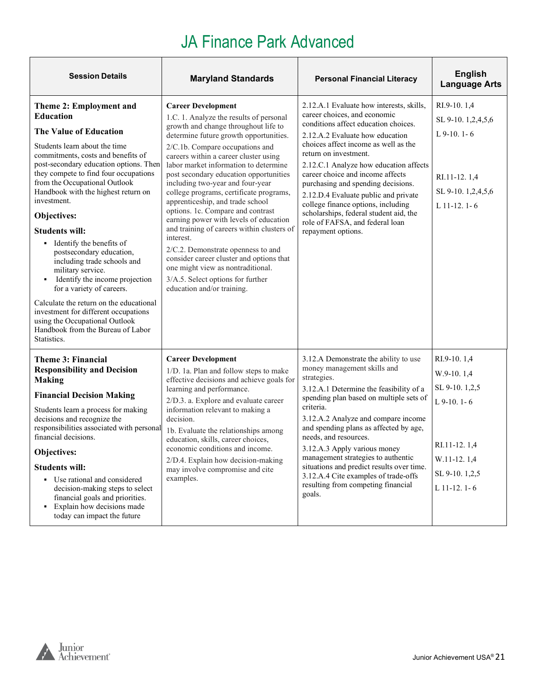| <b>Session Details</b>                                                                                                                                                                                                                                                                                                                                                                                                                                                                                                                                                                                                                                                                                                           | <b>Maryland Standards</b>                                                                                                                                                                                                                                                                                                                                                                                                                                                                                                                                                                                                                                                                                                                                                    | <b>Personal Financial Literacy</b>                                                                                                                                                                                                                                                                                                                                                                                                                                                                                        | <b>English</b><br><b>Language Arts</b>                                                                                           |
|----------------------------------------------------------------------------------------------------------------------------------------------------------------------------------------------------------------------------------------------------------------------------------------------------------------------------------------------------------------------------------------------------------------------------------------------------------------------------------------------------------------------------------------------------------------------------------------------------------------------------------------------------------------------------------------------------------------------------------|------------------------------------------------------------------------------------------------------------------------------------------------------------------------------------------------------------------------------------------------------------------------------------------------------------------------------------------------------------------------------------------------------------------------------------------------------------------------------------------------------------------------------------------------------------------------------------------------------------------------------------------------------------------------------------------------------------------------------------------------------------------------------|---------------------------------------------------------------------------------------------------------------------------------------------------------------------------------------------------------------------------------------------------------------------------------------------------------------------------------------------------------------------------------------------------------------------------------------------------------------------------------------------------------------------------|----------------------------------------------------------------------------------------------------------------------------------|
| Theme 2: Employment and<br><b>Education</b><br><b>The Value of Education</b><br>Students learn about the time<br>commitments, costs and benefits of<br>post-secondary education options. Then<br>they compete to find four occupations<br>from the Occupational Outlook<br>Handbook with the highest return on<br>investment.<br>Objectives:<br><b>Students will:</b><br>• Identify the benefits of<br>postsecondary education,<br>including trade schools and<br>military service.<br>Identify the income projection<br>٠<br>for a variety of careers.<br>Calculate the return on the educational<br>investment for different occupations<br>using the Occupational Outlook<br>Handbook from the Bureau of Labor<br>Statistics. | <b>Career Development</b><br>1.C. 1. Analyze the results of personal<br>growth and change throughout life to<br>determine future growth opportunities.<br>2/C.1b. Compare occupations and<br>careers within a career cluster using<br>labor market information to determine<br>post secondary education opportunities<br>including two-year and four-year<br>college programs, certificate programs,<br>apprenticeship, and trade school<br>options. 1c. Compare and contrast<br>earning power with levels of education<br>and training of careers within clusters of<br>interest.<br>2/C.2. Demonstrate openness to and<br>consider career cluster and options that<br>one might view as nontraditional.<br>3/A.5. Select options for further<br>education and/or training. | 2.12.A.1 Evaluate how interests, skills,<br>career choices, and economic<br>conditions affect education choices.<br>2.12.A.2 Evaluate how education<br>choices affect income as well as the<br>return on investment.<br>2.12.C.1 Analyze how education affects<br>career choice and income affects<br>purchasing and spending decisions.<br>2.12.D.4 Evaluate public and private<br>college finance options, including<br>scholarships, federal student aid, the<br>role of FAFSA, and federal loan<br>repayment options. | RI.9-10.1,4<br>SL 9-10. 1,2,4,5,6<br>L $9-10.1-6$<br>RI.11-12.1,4<br>SL 9-10. 1,2,4,5,6<br>$L$ 11-12. 1-6                        |
| Theme 3: Financial<br><b>Responsibility and Decision</b><br><b>Making</b><br><b>Financial Decision Making</b><br>Students learn a process for making<br>decisions and recognize the<br>responsibilities associated with personal<br>financial decisions.<br>Objectives:<br><b>Students will:</b><br>• Use rational and considered<br>decision-making steps to select<br>financial goals and priorities.<br>• Explain how decisions made<br>today can impact the future                                                                                                                                                                                                                                                           | <b>Career Development</b><br>1/D. 1a. Plan and follow steps to make<br>effective decisions and achieve goals for<br>learning and performance.<br>2/D.3. a. Explore and evaluate career<br>information relevant to making a<br>decision.<br>1b. Evaluate the relationships among<br>education, skills, career choices,<br>economic conditions and income.<br>2/D.4. Explain how decision-making<br>may involve compromise and cite<br>examples.                                                                                                                                                                                                                                                                                                                               | 3.12.A Demonstrate the ability to use<br>money management skills and<br>strategies.<br>3.12.A.1 Determine the feasibility of a<br>spending plan based on multiple sets of<br>criteria.<br>3.12.A.2 Analyze and compare income<br>and spending plans as affected by age,<br>needs, and resources.<br>3.12.A.3 Apply various money<br>management strategies to authentic<br>situations and predict results over time.<br>3.12.A.4 Cite examples of trade-offs<br>resulting from competing financial<br>goals.               | RI.9-10.1,4<br>$W.9-10.1,4$<br>SL 9-10. 1,2,5<br>$L$ 9-10. 1-6<br>RI.11-12.1,4<br>W.11-12.1,4<br>SL 9-10.1,2,5<br>$L$ 11-12. 1-6 |

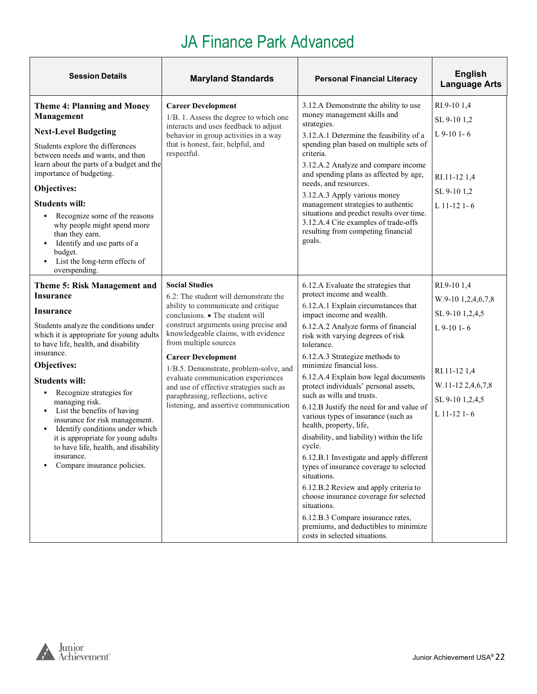| <b>Session Details</b>                                                                                                                                                                                                                                                                                                                                                                                                                                                                                                                                     | <b>Maryland Standards</b>                                                                                                                                                                                                                                                                                                                                                                                                                                                                | <b>Personal Financial Literacy</b>                                                                                                                                                                                                                                                                                                                                                                                                                                                                                                                                                                                                                                                                                                                                                                                                                                                                       | <b>English</b><br><b>Language Arts</b>                                                                                                       |
|------------------------------------------------------------------------------------------------------------------------------------------------------------------------------------------------------------------------------------------------------------------------------------------------------------------------------------------------------------------------------------------------------------------------------------------------------------------------------------------------------------------------------------------------------------|------------------------------------------------------------------------------------------------------------------------------------------------------------------------------------------------------------------------------------------------------------------------------------------------------------------------------------------------------------------------------------------------------------------------------------------------------------------------------------------|----------------------------------------------------------------------------------------------------------------------------------------------------------------------------------------------------------------------------------------------------------------------------------------------------------------------------------------------------------------------------------------------------------------------------------------------------------------------------------------------------------------------------------------------------------------------------------------------------------------------------------------------------------------------------------------------------------------------------------------------------------------------------------------------------------------------------------------------------------------------------------------------------------|----------------------------------------------------------------------------------------------------------------------------------------------|
| <b>Theme 4: Planning and Money</b><br>Management<br><b>Next-Level Budgeting</b><br>Students explore the differences<br>between needs and wants, and then<br>learn about the parts of a budget and the<br>importance of budgeting.<br>Objectives:<br><b>Students will:</b><br>Recognize some of the reasons<br>$\blacksquare$<br>why people might spend more<br>than they earn.<br>Identify and use parts of a<br>budget.<br>• List the long-term effects of<br>overspending.                                                                               | <b>Career Development</b><br>1/B. 1. Assess the degree to which one<br>interacts and uses feedback to adjust<br>behavior in group activities in a way<br>that is honest, fair, helpful, and<br>respectful.                                                                                                                                                                                                                                                                               | 3.12.A Demonstrate the ability to use<br>money management skills and<br>strategies.<br>3.12.A.1 Determine the feasibility of a<br>spending plan based on multiple sets of<br>criteria.<br>3.12.A.2 Analyze and compare income<br>and spending plans as affected by age,<br>needs, and resources.<br>3.12.A.3 Apply various money<br>management strategies to authentic<br>situations and predict results over time.<br>3.12.A.4 Cite examples of trade-offs<br>resulting from competing financial<br>goals.                                                                                                                                                                                                                                                                                                                                                                                              | RI.9-101,4<br>SL 9-10 1,2<br>L 9-10 1-6<br>RI.11-12 1,4<br>SL 9-10 1,2<br>$L$ 11-12 1-6                                                      |
| <b>Theme 5: Risk Management and</b><br><b>Insurance</b><br><b>Insurance</b><br>Students analyze the conditions under<br>which it is appropriate for young adults<br>to have life, health, and disability<br>insurance.<br>Objectives:<br><b>Students will:</b><br>Recognize strategies for<br>٠<br>managing risk.<br>List the benefits of having<br>٠<br>insurance for risk management.<br>Identify conditions under which<br>٠<br>it is appropriate for young adults<br>to have life, health, and disability<br>insurance.<br>Compare insurance policies. | <b>Social Studies</b><br>6.2: The student will demonstrate the<br>ability to communicate and critique<br>conclusions. • The student will<br>construct arguments using precise and<br>knowledgeable claims, with evidence<br>from multiple sources<br><b>Career Development</b><br>1/B.5. Demonstrate, problem-solve, and<br>evaluate communication experiences<br>and use of effective strategies such as<br>paraphrasing, reflections, active<br>listening, and assertive communication | 6.12.A Evaluate the strategies that<br>protect income and wealth.<br>6.12.A.1 Explain circumstances that<br>impact income and wealth.<br>6.12.A.2 Analyze forms of financial<br>risk with varying degrees of risk<br>tolerance.<br>6.12.A.3 Strategize methods to<br>minimize financial loss.<br>6.12.A.4 Explain how legal documents<br>protect individuals' personal assets,<br>such as wills and trusts.<br>6.12.B Justify the need for and value of<br>various types of insurance (such as<br>health, property, life,<br>disability, and liability) within the life<br>cycle.<br>6.12.B.1 Investigate and apply different<br>types of insurance coverage to selected<br>situations.<br>6.12.B.2 Review and apply criteria to<br>choose insurance coverage for selected<br>situations.<br>6.12.B.3 Compare insurance rates,<br>premiums, and deductibles to minimize<br>costs in selected situations. | RI.9-101,4<br>W.9-10 1,2,4,6,7,8<br>SL 9-10 1,2,4,5<br>$L$ 9-10 1-6<br>RI.11-12 1,4<br>W.11-12 2,4,6,7,8<br>SL 9-10 1,2,4,5<br>$L$ 11-12 1-6 |

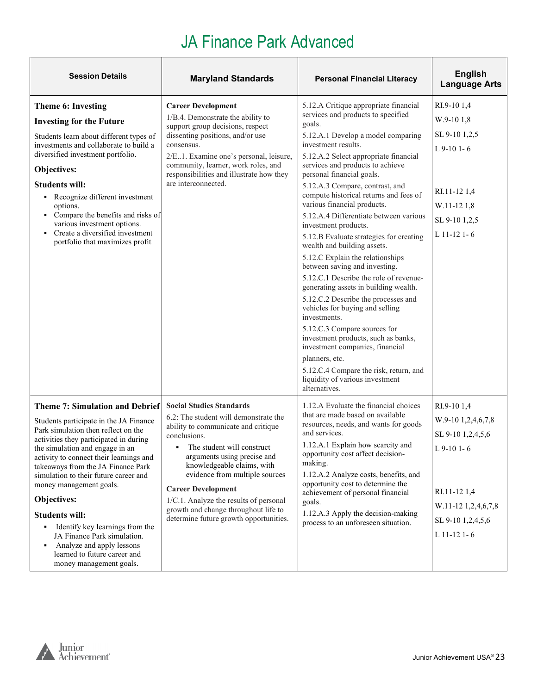| <b>Session Details</b>                                                                                                                                                                                                                                                                                                                                                                                                                                                                                                                                          | <b>Maryland Standards</b>                                                                                                                                                                                                                                                                                                                                                                                                  | <b>Personal Financial Literacy</b>                                                                                                                                                                                                                                                                                                                                                                                                                                                                                                                                                                                                                                                                                                                                                                                                                                                                                                                                                               | <b>English</b><br><b>Language Arts</b>                                                                                                             |
|-----------------------------------------------------------------------------------------------------------------------------------------------------------------------------------------------------------------------------------------------------------------------------------------------------------------------------------------------------------------------------------------------------------------------------------------------------------------------------------------------------------------------------------------------------------------|----------------------------------------------------------------------------------------------------------------------------------------------------------------------------------------------------------------------------------------------------------------------------------------------------------------------------------------------------------------------------------------------------------------------------|--------------------------------------------------------------------------------------------------------------------------------------------------------------------------------------------------------------------------------------------------------------------------------------------------------------------------------------------------------------------------------------------------------------------------------------------------------------------------------------------------------------------------------------------------------------------------------------------------------------------------------------------------------------------------------------------------------------------------------------------------------------------------------------------------------------------------------------------------------------------------------------------------------------------------------------------------------------------------------------------------|----------------------------------------------------------------------------------------------------------------------------------------------------|
| Theme 6: Investing<br><b>Investing for the Future</b><br>Students learn about different types of<br>investments and collaborate to build a<br>diversified investment portfolio.<br>Objectives:<br><b>Students will:</b><br>• Recognize different investment<br>options.<br>• Compare the benefits and risks of<br>various investment options.<br>• Create a diversified investment<br>portfolio that maximizes profit                                                                                                                                           | <b>Career Development</b><br>1/B.4. Demonstrate the ability to<br>support group decisions, respect<br>dissenting positions, and/or use<br>consensus.<br>2/E1. Examine one's personal, leisure,<br>community, learner, work roles, and<br>responsibilities and illustrate how they<br>are interconnected.                                                                                                                   | 5.12.A Critique appropriate financial<br>services and products to specified<br>goals.<br>5.12.A.1 Develop a model comparing<br>investment results.<br>5.12.A.2 Select appropriate financial<br>services and products to achieve<br>personal financial goals.<br>5.12.A.3 Compare, contrast, and<br>compute historical returns and fees of<br>various financial products.<br>5.12.A.4 Differentiate between various<br>investment products.<br>5.12.B Evaluate strategies for creating<br>wealth and building assets.<br>5.12.C Explain the relationships<br>between saving and investing.<br>5.12.C.1 Describe the role of revenue-<br>generating assets in building wealth.<br>5.12.C.2 Describe the processes and<br>vehicles for buying and selling<br>investments.<br>5.12.C.3 Compare sources for<br>investment products, such as banks,<br>investment companies, financial<br>planners, etc.<br>5.12.C.4 Compare the risk, return, and<br>liquidity of various investment<br>alternatives. | RI.9-101,4<br>W.9-10 1,8<br>SL 9-10 1,2,5<br>$L$ 9-10 1-6<br>RI.11-12 1,4<br>$W.11-121,8$<br>SL 9-10 1,2,5<br>$L$ 11-12 1-6                        |
| <b>Theme 7: Simulation and Debrief</b><br>Students participate in the JA Finance<br>Park simulation then reflect on the<br>activities they participated in during<br>the simulation and engage in an<br>activity to connect their learnings and<br>takeaways from the JA Finance Park<br>simulation to their future career and<br>money management goals.<br>Objectives:<br><b>Students will:</b><br>• Identify key learnings from the<br>JA Finance Park simulation.<br>• Analyze and apply lessons<br>learned to future career and<br>money management goals. | <b>Social Studies Standards</b><br>6.2: The student will demonstrate the<br>ability to communicate and critique<br>conclusions.<br>The student will construct<br>٠<br>arguments using precise and<br>knowledgeable claims, with<br>evidence from multiple sources<br><b>Career Development</b><br>1/C.1. Analyze the results of personal<br>growth and change throughout life to<br>determine future growth opportunities. | 1.12.A Evaluate the financial choices<br>that are made based on available<br>resources, needs, and wants for goods<br>and services.<br>1.12.A.1 Explain how scarcity and<br>opportunity cost affect decision-<br>making.<br>1.12.A.2 Analyze costs, benefits, and<br>opportunity cost to determine the<br>achievement of personal financial<br>goals.<br>1.12.A.3 Apply the decision-making<br>process to an unforeseen situation.                                                                                                                                                                                                                                                                                                                                                                                                                                                                                                                                                               | RI.9-101,4<br>W.9-10 1,2,4,6,7,8<br>SL 9-10 1,2,4,5,6<br>$L$ 9-10 1-6<br>RI.11-12 1,4<br>W.11-12 1,2,4,6,7,8<br>SL 9-10 1,2,4,5,6<br>$L$ 11-12 1-6 |

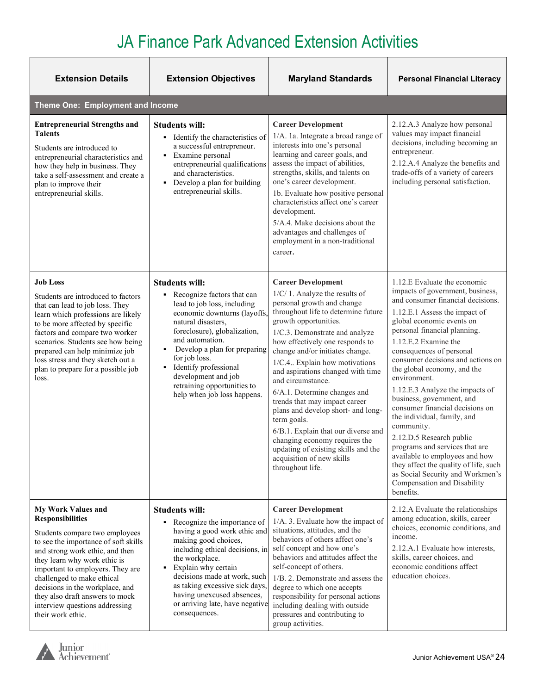| <b>Extension Details</b>                                                                                                                                                                                                                                                                                                                                                                         | <b>Extension Objectives</b>                                                                                                                                                                                                                                                                                                                                               | <b>Maryland Standards</b>                                                                                                                                                                                                                                                                                                                                                                                                                                                                                                                                                                                                                         | <b>Personal Financial Literacy</b>                                                                                                                                                                                                                                                                                                                                                                                                                                                                                                                                                                                                                                                                                   |
|--------------------------------------------------------------------------------------------------------------------------------------------------------------------------------------------------------------------------------------------------------------------------------------------------------------------------------------------------------------------------------------------------|---------------------------------------------------------------------------------------------------------------------------------------------------------------------------------------------------------------------------------------------------------------------------------------------------------------------------------------------------------------------------|---------------------------------------------------------------------------------------------------------------------------------------------------------------------------------------------------------------------------------------------------------------------------------------------------------------------------------------------------------------------------------------------------------------------------------------------------------------------------------------------------------------------------------------------------------------------------------------------------------------------------------------------------|----------------------------------------------------------------------------------------------------------------------------------------------------------------------------------------------------------------------------------------------------------------------------------------------------------------------------------------------------------------------------------------------------------------------------------------------------------------------------------------------------------------------------------------------------------------------------------------------------------------------------------------------------------------------------------------------------------------------|
| Theme One: Employment and Income                                                                                                                                                                                                                                                                                                                                                                 |                                                                                                                                                                                                                                                                                                                                                                           |                                                                                                                                                                                                                                                                                                                                                                                                                                                                                                                                                                                                                                                   |                                                                                                                                                                                                                                                                                                                                                                                                                                                                                                                                                                                                                                                                                                                      |
| <b>Entrepreneurial Strengths and</b><br><b>Talents</b><br>Students are introduced to<br>entrepreneurial characteristics and<br>how they help in business. They<br>take a self-assessment and create a<br>plan to improve their<br>entrepreneurial skills.                                                                                                                                        | <b>Students will:</b><br>Identify the characteristics of<br>٠<br>a successful entrepreneur.<br>Examine personal<br>٠<br>entrepreneurial qualifications<br>and characteristics.<br>Develop a plan for building<br>٠<br>entrepreneurial skills.                                                                                                                             | <b>Career Development</b><br>1/A. 1a. Integrate a broad range of<br>interests into one's personal<br>learning and career goals, and<br>assess the impact of abilities,<br>strengths, skills, and talents on<br>one's career development.<br>1b. Evaluate how positive personal<br>characteristics affect one's career<br>development.<br>5/A.4. Make decisions about the<br>advantages and challenges of<br>employment in a non-traditional<br>career.                                                                                                                                                                                            | 2.12.A.3 Analyze how personal<br>values may impact financial<br>decisions, including becoming an<br>entrepreneur.<br>2.12.A.4 Analyze the benefits and<br>trade-offs of a variety of careers<br>including personal satisfaction.                                                                                                                                                                                                                                                                                                                                                                                                                                                                                     |
| <b>Job Loss</b><br>Students are introduced to factors<br>that can lead to job loss. They<br>learn which professions are likely<br>to be more affected by specific<br>factors and compare two worker<br>scenarios. Students see how being<br>prepared can help minimize job<br>loss stress and they sketch out a<br>plan to prepare for a possible job<br>loss.                                   | <b>Students will:</b><br>Recognize factors that can<br>٠<br>lead to job loss, including<br>economic downturns (layoffs,<br>natural disasters,<br>foreclosure), globalization,<br>and automation.<br>Develop a plan for preparing<br>٠<br>for job loss.<br>Identify professional<br>٠<br>development and job<br>retraining opportunities to<br>help when job loss happens. | <b>Career Development</b><br>1/C/1. Analyze the results of<br>personal growth and change<br>throughout life to determine future<br>growth opportunities.<br>1/C.3. Demonstrate and analyze<br>how effectively one responds to<br>change and/or initiates change.<br>1/C.4 Explain how motivations<br>and aspirations changed with time<br>and circumstance.<br>6/A.1. Determine changes and<br>trends that may impact career<br>plans and develop short- and long-<br>term goals.<br>6/B.1. Explain that our diverse and<br>changing economy requires the<br>updating of existing skills and the<br>acquisition of new skills<br>throughout life. | 1.12.E Evaluate the economic<br>impacts of government, business,<br>and consumer financial decisions.<br>1.12.E.1 Assess the impact of<br>global economic events on<br>personal financial planning.<br>1.12.E.2 Examine the<br>consequences of personal<br>consumer decisions and actions on<br>the global economy, and the<br>environment.<br>1.12.E.3 Analyze the impacts of<br>business, government, and<br>consumer financial decisions on<br>the individual, family, and<br>community.<br>2.12.D.5 Research public<br>programs and services that are<br>available to employees and how<br>they affect the quality of life, such<br>as Social Security and Workmen's<br>Compensation and Disability<br>benefits. |
| <b>My Work Values and</b><br><b>Responsibilities</b><br>Students compare two employees<br>to see the importance of soft skills<br>and strong work ethic, and then<br>they learn why work ethic is<br>important to employers. They are<br>challenged to make ethical<br>decisions in the workplace, and<br>they also draft answers to mock<br>interview questions addressing<br>their work ethic. | <b>Students will:</b><br>• Recognize the importance of<br>having a good work ethic and<br>making good choices,<br>including ethical decisions, in<br>the workplace.<br>Explain why certain<br>٠<br>decisions made at work, such<br>as taking excessive sick days,<br>having unexcused absences,<br>or arriving late, have negative<br>consequences.                       | <b>Career Development</b><br>1/A. 3. Evaluate how the impact of<br>situations, attitudes, and the<br>behaviors of others affect one's<br>self concept and how one's<br>behaviors and attitudes affect the<br>self-concept of others.<br>1/B. 2. Demonstrate and assess the<br>degree to which one accepts<br>responsibility for personal actions<br>including dealing with outside<br>pressures and contributing to<br>group activities.                                                                                                                                                                                                          | 2.12.A Evaluate the relationships<br>among education, skills, career<br>choices, economic conditions, and<br>income.<br>2.12.A.1 Evaluate how interests,<br>skills, career choices, and<br>economic conditions affect<br>education choices.                                                                                                                                                                                                                                                                                                                                                                                                                                                                          |

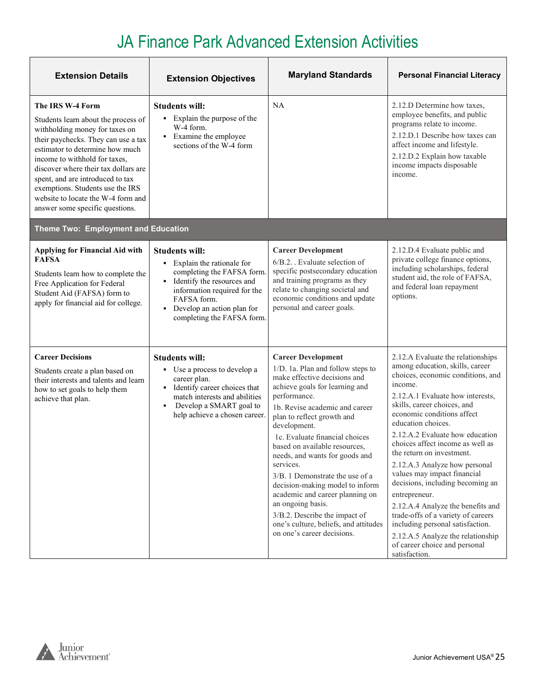| <b>Extension Details</b>                                                                                                                                                                                                                                                                                                                                                                      | <b>Extension Objectives</b>                                                                                                                                                                                                      | <b>Maryland Standards</b>                                                                                                                                                                                                                                                                                                                                                                                                                                                                                                                                                                | <b>Personal Financial Literacy</b>                                                                                                                                                                                                                                                                                                                                                                                                                                                                                                                                                                                                                                         |
|-----------------------------------------------------------------------------------------------------------------------------------------------------------------------------------------------------------------------------------------------------------------------------------------------------------------------------------------------------------------------------------------------|----------------------------------------------------------------------------------------------------------------------------------------------------------------------------------------------------------------------------------|------------------------------------------------------------------------------------------------------------------------------------------------------------------------------------------------------------------------------------------------------------------------------------------------------------------------------------------------------------------------------------------------------------------------------------------------------------------------------------------------------------------------------------------------------------------------------------------|----------------------------------------------------------------------------------------------------------------------------------------------------------------------------------------------------------------------------------------------------------------------------------------------------------------------------------------------------------------------------------------------------------------------------------------------------------------------------------------------------------------------------------------------------------------------------------------------------------------------------------------------------------------------------|
| The IRS W-4 Form<br>Students learn about the process of<br>withholding money for taxes on<br>their paychecks. They can use a tax<br>estimator to determine how much<br>income to withhold for taxes,<br>discover where their tax dollars are<br>spent, and are introduced to tax<br>exemptions. Students use the IRS<br>website to locate the W-4 form and<br>answer some specific questions. | <b>Students will:</b><br>• Explain the purpose of the<br>W-4 form.<br>• Examine the employee<br>sections of the W-4 form                                                                                                         | NA                                                                                                                                                                                                                                                                                                                                                                                                                                                                                                                                                                                       | 2.12.D Determine how taxes,<br>employee benefits, and public<br>programs relate to income.<br>2.12.D.1 Describe how taxes can<br>affect income and lifestyle.<br>2.12.D.2 Explain how taxable<br>income impacts disposable<br>income.                                                                                                                                                                                                                                                                                                                                                                                                                                      |
| Theme Two: Employment and Education                                                                                                                                                                                                                                                                                                                                                           |                                                                                                                                                                                                                                  |                                                                                                                                                                                                                                                                                                                                                                                                                                                                                                                                                                                          |                                                                                                                                                                                                                                                                                                                                                                                                                                                                                                                                                                                                                                                                            |
| <b>Applying for Financial Aid with</b><br><b>FAFSA</b><br>Students learn how to complete the<br>Free Application for Federal<br>Student Aid (FAFSA) form to<br>apply for financial aid for college.                                                                                                                                                                                           | <b>Students will:</b><br>• Explain the rationale for<br>completing the FAFSA form.<br>Identify the resources and<br>٠<br>information required for the<br>FAFSA form.<br>Develop an action plan for<br>completing the FAFSA form. | <b>Career Development</b><br>6/B.2. . Evaluate selection of<br>specific postsecondary education<br>and training programs as they<br>relate to changing societal and<br>economic conditions and update<br>personal and career goals.                                                                                                                                                                                                                                                                                                                                                      | 2.12.D.4 Evaluate public and<br>private college finance options,<br>including scholarships, federal<br>student aid, the role of FAFSA,<br>and federal loan repayment<br>options.                                                                                                                                                                                                                                                                                                                                                                                                                                                                                           |
| <b>Career Decisions</b><br>Students create a plan based on<br>their interests and talents and learn<br>how to set goals to help them<br>achieve that plan.                                                                                                                                                                                                                                    | <b>Students will:</b><br>• Use a process to develop a<br>career plan.<br>Identify career choices that<br>match interests and abilities<br>Develop a SMART goal to<br>$\blacksquare$<br>help achieve a chosen career.             | <b>Career Development</b><br>1/D. 1a. Plan and follow steps to<br>make effective decisions and<br>achieve goals for learning and<br>performance.<br>1b. Revise academic and career<br>plan to reflect growth and<br>development.<br>1c. Evaluate financial choices<br>based on available resources,<br>needs, and wants for goods and<br>services.<br>3/B. 1 Demonstrate the use of a<br>decision-making model to inform<br>academic and career planning on<br>an ongoing basis.<br>3/B.2. Describe the impact of<br>one's culture, beliefs, and attitudes<br>on one's career decisions. | 2.12.A Evaluate the relationships<br>among education, skills, career<br>choices, economic conditions, and<br>income.<br>2.12.A.1 Evaluate how interests,<br>skills, career choices, and<br>economic conditions affect<br>education choices.<br>2.12.A.2 Evaluate how education<br>choices affect income as well as<br>the return on investment.<br>2.12.A.3 Analyze how personal<br>values may impact financial<br>decisions, including becoming an<br>entrepreneur.<br>2.12.A.4 Analyze the benefits and<br>trade-offs of a variety of careers<br>including personal satisfaction.<br>2.12.A.5 Analyze the relationship<br>of career choice and personal<br>satisfaction. |

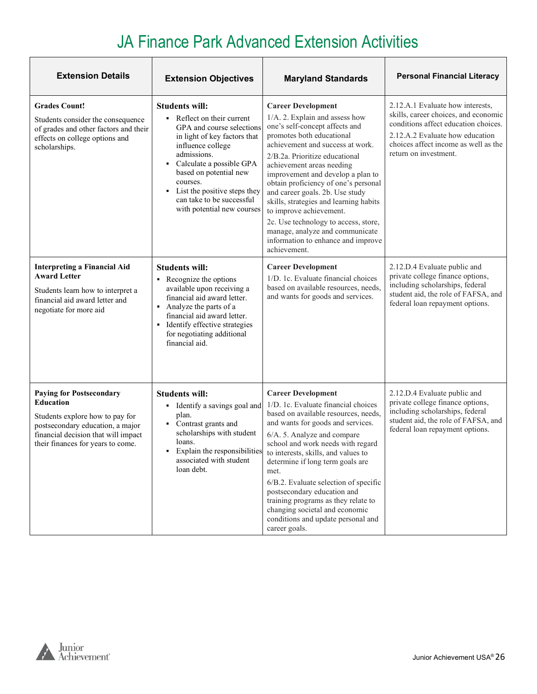| <b>Extension Details</b>                                                                                                                                                                               | <b>Extension Objectives</b>                                                                                                                                                                                                                                                                                                            | <b>Maryland Standards</b>                                                                                                                                                                                                                                                                                                                                                                                                                                                                                                                           | <b>Personal Financial Literacy</b>                                                                                                                                                                                   |
|--------------------------------------------------------------------------------------------------------------------------------------------------------------------------------------------------------|----------------------------------------------------------------------------------------------------------------------------------------------------------------------------------------------------------------------------------------------------------------------------------------------------------------------------------------|-----------------------------------------------------------------------------------------------------------------------------------------------------------------------------------------------------------------------------------------------------------------------------------------------------------------------------------------------------------------------------------------------------------------------------------------------------------------------------------------------------------------------------------------------------|----------------------------------------------------------------------------------------------------------------------------------------------------------------------------------------------------------------------|
| <b>Grades Count!</b><br>Students consider the consequence<br>of grades and other factors and their<br>effects on college options and<br>scholarships.                                                  | <b>Students will:</b><br>Reflect on their current<br>٠<br>GPA and course selections<br>in light of key factors that<br>influence college<br>admissions.<br>Calculate a possible GPA<br>based on potential new<br>courses.<br>List the positive steps they<br>$\blacksquare$<br>can take to be successful<br>with potential new courses | <b>Career Development</b><br>1/A. 2. Explain and assess how<br>one's self-concept affects and<br>promotes both educational<br>achievement and success at work.<br>2/B.2a. Prioritize educational<br>achievement areas needing<br>improvement and develop a plan to<br>obtain proficiency of one's personal<br>and career goals. 2b. Use study<br>skills, strategies and learning habits<br>to improve achievement.<br>2c. Use technology to access, store,<br>manage, analyze and communicate<br>information to enhance and improve<br>achievement. | 2.12.A.1 Evaluate how interests,<br>skills, career choices, and economic<br>conditions affect education choices.<br>2.12.A.2 Evaluate how education<br>choices affect income as well as the<br>return on investment. |
| <b>Interpreting a Financial Aid</b><br><b>Award Letter</b><br>Students learn how to interpret a<br>financial aid award letter and<br>negotiate for more aid                                            | <b>Students will:</b><br>• Recognize the options<br>available upon receiving a<br>financial aid award letter.<br>• Analyze the parts of a<br>financial aid award letter.<br>• Identify effective strategies<br>for negotiating additional<br>financial aid.                                                                            | <b>Career Development</b><br>1/D. 1c. Evaluate financial choices<br>based on available resources, needs,<br>and wants for goods and services.                                                                                                                                                                                                                                                                                                                                                                                                       | 2.12.D.4 Evaluate public and<br>private college finance options,<br>including scholarships, federal<br>student aid, the role of FAFSA, and<br>federal loan repayment options.                                        |
| <b>Paying for Postsecondary</b><br><b>Education</b><br>Students explore how to pay for<br>postsecondary education, a major<br>financial decision that will impact<br>their finances for years to come. | <b>Students will:</b><br>Identify a savings goal and<br>٠<br>plan.<br>Contrast grants and<br>scholarships with student<br>loans.<br>Explain the responsibilities<br>associated with student<br>loan debt.                                                                                                                              | <b>Career Development</b><br>1/D. 1c. Evaluate financial choices<br>based on available resources, needs,<br>and wants for goods and services.<br>6/A. 5. Analyze and compare<br>school and work needs with regard<br>to interests, skills, and values to<br>determine if long term goals are<br>met.<br>6/B.2. Evaluate selection of specific<br>postsecondary education and<br>training programs as they relate to<br>changing societal and economic<br>conditions and update personal and<br>career goals.                                        | 2.12.D.4 Evaluate public and<br>private college finance options,<br>including scholarships, federal<br>student aid, the role of FAFSA, and<br>federal loan repayment options.                                        |

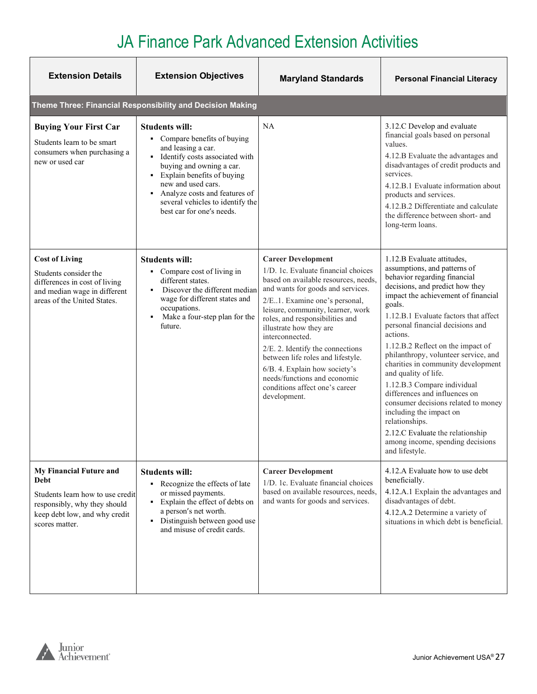| <b>Extension Details</b>                                                                                                                               | <b>Extension Objectives</b>                                                                                                                                                                                                                                                                         | <b>Maryland Standards</b>                                                                                                                                                                                                                                                                                                                                                                                                                                                                         | <b>Personal Financial Literacy</b>                                                                                                                                                                                                                                                                                                                                                                                                                                                                                                                                                                                                                               |  |
|--------------------------------------------------------------------------------------------------------------------------------------------------------|-----------------------------------------------------------------------------------------------------------------------------------------------------------------------------------------------------------------------------------------------------------------------------------------------------|---------------------------------------------------------------------------------------------------------------------------------------------------------------------------------------------------------------------------------------------------------------------------------------------------------------------------------------------------------------------------------------------------------------------------------------------------------------------------------------------------|------------------------------------------------------------------------------------------------------------------------------------------------------------------------------------------------------------------------------------------------------------------------------------------------------------------------------------------------------------------------------------------------------------------------------------------------------------------------------------------------------------------------------------------------------------------------------------------------------------------------------------------------------------------|--|
|                                                                                                                                                        | Theme Three: Financial Responsibility and Decision Making                                                                                                                                                                                                                                           |                                                                                                                                                                                                                                                                                                                                                                                                                                                                                                   |                                                                                                                                                                                                                                                                                                                                                                                                                                                                                                                                                                                                                                                                  |  |
| <b>Buying Your First Car</b><br>Students learn to be smart<br>consumers when purchasing a<br>new or used car                                           | <b>Students will:</b><br>• Compare benefits of buying<br>and leasing a car.<br>· Identify costs associated with<br>buying and owning a car.<br>• Explain benefits of buying<br>new and used cars.<br>Analyze costs and features of<br>several vehicles to identify the<br>best car for one's needs. | NA                                                                                                                                                                                                                                                                                                                                                                                                                                                                                                | 3.12.C Develop and evaluate<br>financial goals based on personal<br>values.<br>4.12.B Evaluate the advantages and<br>disadvantages of credit products and<br>services.<br>4.12.B.1 Evaluate information about<br>products and services.<br>4.12.B.2 Differentiate and calculate<br>the difference between short- and<br>long-term loans.                                                                                                                                                                                                                                                                                                                         |  |
| <b>Cost of Living</b><br>Students consider the<br>differences in cost of living<br>and median wage in different<br>areas of the United States.         | <b>Students will:</b><br>• Compare cost of living in<br>different states.<br>Discover the different median<br>wage for different states and<br>occupations.<br>Make a four-step plan for the<br>$\blacksquare$<br>future.                                                                           | <b>Career Development</b><br>1/D. 1c. Evaluate financial choices<br>based on available resources, needs,<br>and wants for goods and services.<br>2/E.1. Examine one's personal,<br>leisure, community, learner, work<br>roles, and responsibilities and<br>illustrate how they are<br>interconnected.<br>2/E. 2. Identify the connections<br>between life roles and lifestyle.<br>6/B. 4. Explain how society's<br>needs/functions and economic<br>conditions affect one's career<br>development. | 1.12.B Evaluate attitudes,<br>assumptions, and patterns of<br>behavior regarding financial<br>decisions, and predict how they<br>impact the achievement of financial<br>goals.<br>1.12.B.1 Evaluate factors that affect<br>personal financial decisions and<br>actions.<br>1.12.B.2 Reflect on the impact of<br>philanthropy, volunteer service, and<br>charities in community development<br>and quality of life.<br>1.12.B.3 Compare individual<br>differences and influences on<br>consumer decisions related to money<br>including the impact on<br>relationships.<br>2.12.C Evaluate the relationship<br>among income, spending decisions<br>and lifestyle. |  |
| My Financial Future and<br>Debt<br>Students learn how to use credit<br>responsibly, why they should<br>keep debt low, and why credit<br>scores matter. | <b>Students will:</b><br>• Recognize the effects of late<br>or missed payments.<br>Explain the effect of debts on<br>$\blacksquare$<br>a person's net worth.<br>• Distinguish between good use<br>and misuse of credit cards.                                                                       | <b>Career Development</b><br>1/D. 1c. Evaluate financial choices<br>based on available resources, needs,<br>and wants for goods and services.                                                                                                                                                                                                                                                                                                                                                     | 4.12.A Evaluate how to use debt<br>beneficially.<br>4.12.A.1 Explain the advantages and<br>disadvantages of debt.<br>4.12.A.2 Determine a variety of<br>situations in which debt is beneficial.                                                                                                                                                                                                                                                                                                                                                                                                                                                                  |  |

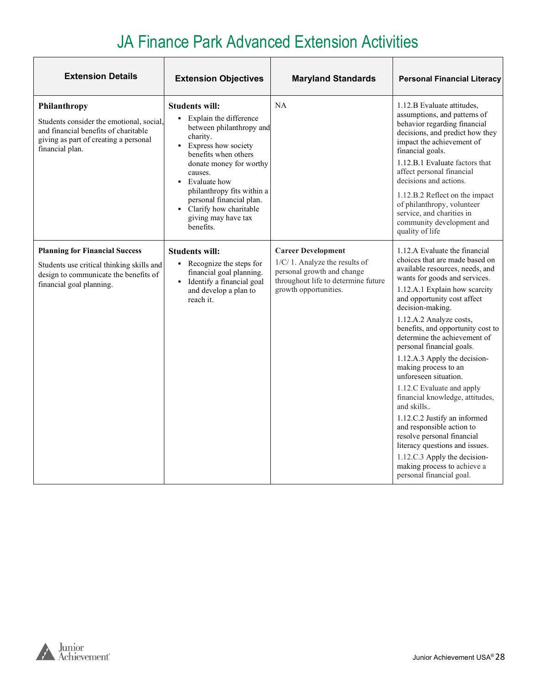| <b>Extension Details</b>                                                                                                                                     | <b>Extension Objectives</b>                                                                                                                                                                                                                                                                                                                    | <b>Maryland Standards</b>                                                                                                                                | <b>Personal Financial Literacy</b>                                                                                                                                                                                                                                                                                                                                                                                                                                                                                                                                                                                                                                                                                                          |
|--------------------------------------------------------------------------------------------------------------------------------------------------------------|------------------------------------------------------------------------------------------------------------------------------------------------------------------------------------------------------------------------------------------------------------------------------------------------------------------------------------------------|----------------------------------------------------------------------------------------------------------------------------------------------------------|---------------------------------------------------------------------------------------------------------------------------------------------------------------------------------------------------------------------------------------------------------------------------------------------------------------------------------------------------------------------------------------------------------------------------------------------------------------------------------------------------------------------------------------------------------------------------------------------------------------------------------------------------------------------------------------------------------------------------------------------|
| Philanthropy<br>Students consider the emotional, social,<br>and financial benefits of charitable<br>giving as part of creating a personal<br>financial plan. | Students will:<br>Explain the difference<br>٠.<br>between philanthropy and<br>charity.<br><b>Express how society</b><br>benefits when others<br>donate money for worthy<br>causes.<br>Evaluate how<br>$\blacksquare$<br>philanthropy fits within a<br>personal financial plan.<br>• Clarify how charitable<br>giving may have tax<br>benefits. | <b>NA</b>                                                                                                                                                | 1.12.B Evaluate attitudes,<br>assumptions, and patterns of<br>behavior regarding financial<br>decisions, and predict how they<br>impact the achievement of<br>financial goals.<br>1.12.B.1 Evaluate factors that<br>affect personal financial<br>decisions and actions.<br>1.12.B.2 Reflect on the impact<br>of philanthropy, volunteer<br>service, and charities in<br>community development and<br>quality of life                                                                                                                                                                                                                                                                                                                        |
| <b>Planning for Financial Success</b><br>Students use critical thinking skills and<br>design to communicate the benefits of<br>financial goal planning.      | <b>Students will:</b><br>• Recognize the steps for<br>financial goal planning.<br>• Identify a financial goal<br>and develop a plan to<br>reach it.                                                                                                                                                                                            | <b>Career Development</b><br>1/C/1. Analyze the results of<br>personal growth and change<br>throughout life to determine future<br>growth opportunities. | 1.12.A Evaluate the financial<br>choices that are made based on<br>available resources, needs, and<br>wants for goods and services.<br>1.12.A.1 Explain how scarcity<br>and opportunity cost affect<br>decision-making.<br>1.12.A.2 Analyze costs,<br>benefits, and opportunity cost to<br>determine the achievement of<br>personal financial goals.<br>1.12.A.3 Apply the decision-<br>making process to an<br>unforeseen situation.<br>1.12.C Evaluate and apply<br>financial knowledge, attitudes,<br>and skills<br>1.12.C.2 Justify an informed<br>and responsible action to<br>resolve personal financial<br>literacy questions and issues.<br>1.12.C.3 Apply the decision-<br>making process to achieve a<br>personal financial goal. |

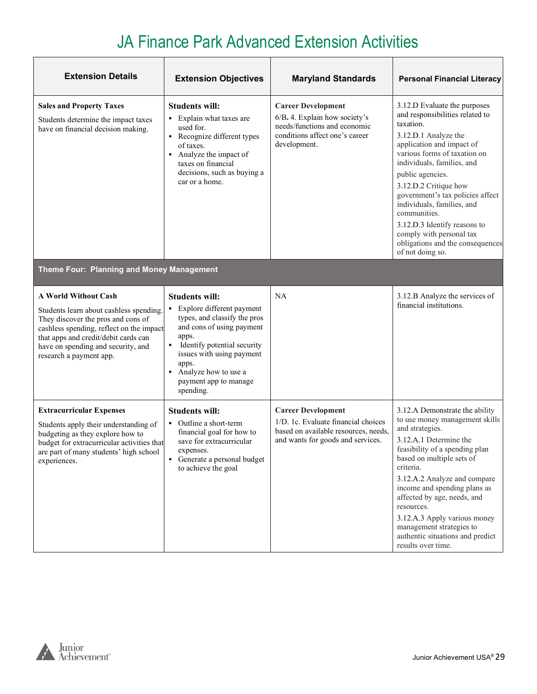| <b>Extension Details</b>                                                                                                                                                                                                                                   | <b>Extension Objectives</b>                                                                                                                                                                                                                                                        | <b>Maryland Standards</b>                                                                                                                     | <b>Personal Financial Literacy</b>                                                                                                                                                                                                                                                                                                                                                                                                                 |
|------------------------------------------------------------------------------------------------------------------------------------------------------------------------------------------------------------------------------------------------------------|------------------------------------------------------------------------------------------------------------------------------------------------------------------------------------------------------------------------------------------------------------------------------------|-----------------------------------------------------------------------------------------------------------------------------------------------|----------------------------------------------------------------------------------------------------------------------------------------------------------------------------------------------------------------------------------------------------------------------------------------------------------------------------------------------------------------------------------------------------------------------------------------------------|
| <b>Sales and Property Taxes</b><br>Students determine the impact taxes<br>have on financial decision making.                                                                                                                                               | <b>Students will:</b><br>Explain what taxes are<br>٠<br>used for.<br>• Recognize different types<br>of taxes.<br>Analyze the impact of<br>٠<br>taxes on financial<br>decisions, such as buying a<br>car or a home.                                                                 | <b>Career Development</b><br>6/B. 4. Explain how society's<br>needs/functions and economic<br>conditions affect one's career<br>development.  | 3.12.D Evaluate the purposes<br>and responsibilities related to<br>taxation.<br>3.12.D.1 Analyze the<br>application and impact of<br>various forms of taxation on<br>individuals, families, and<br>public agencies.<br>3.12.D.2 Critique how<br>government's tax policies affect<br>individuals, families, and<br>communities.<br>3.12.D.3 Identify reasons to<br>comply with personal tax<br>obligations and the consequences<br>of not doing so. |
| Theme Four: Planning and Money Management                                                                                                                                                                                                                  |                                                                                                                                                                                                                                                                                    |                                                                                                                                               |                                                                                                                                                                                                                                                                                                                                                                                                                                                    |
| A World Without Cash<br>Students learn about cashless spending.<br>They discover the pros and cons of<br>cashless spending, reflect on the impact<br>that apps and credit/debit cards can<br>have on spending and security, and<br>research a payment app. | <b>Students will:</b><br>Explore different payment<br>types, and classify the pros<br>and cons of using payment<br>apps.<br>Identify potential security<br>$\blacksquare$<br>issues with using payment<br>apps.<br>Analyze how to use a<br>٠<br>payment app to manage<br>spending. | NA                                                                                                                                            | 3.12.B Analyze the services of<br>financial institutions.                                                                                                                                                                                                                                                                                                                                                                                          |
| <b>Extracurricular Expenses</b><br>Students apply their understanding of<br>budgeting as they explore how to<br>budget for extracurricular activities that<br>are part of many students' high school<br>experiences.                                       | <b>Students will:</b><br>Outline a short-term<br>financial goal for how to<br>save for extracurricular<br>expenses.<br>Generate a personal budget<br>to achieve the goal                                                                                                           | <b>Career Development</b><br>1/D. 1c. Evaluate financial choices<br>based on available resources, needs,<br>and wants for goods and services. | 3.12.A Demonstrate the ability<br>to use money management skills<br>and strategies.<br>3.12.A.1 Determine the<br>feasibility of a spending plan<br>based on multiple sets of<br>criteria.<br>3.12.A.2 Analyze and compare<br>income and spending plans as<br>affected by age, needs, and<br>resources.<br>3.12.A.3 Apply various money<br>management strategies to<br>authentic situations and predict<br>results over time.                       |

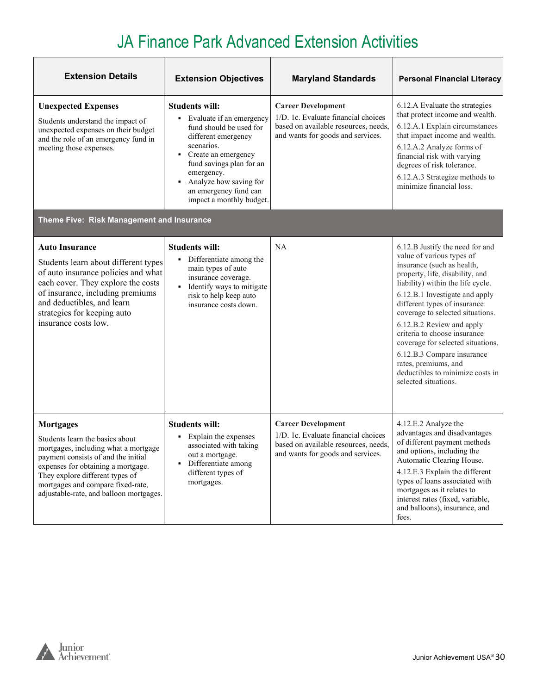| <b>Extension Details</b>                                                                                                                                                                                                                                                                    | <b>Extension Objectives</b>                                                                                                                                                                                                                                              | <b>Maryland Standards</b>                                                                                                                     | <b>Personal Financial Literacy</b>                                                                                                                                                                                                                                                                                                                                                                                                                                                           |
|---------------------------------------------------------------------------------------------------------------------------------------------------------------------------------------------------------------------------------------------------------------------------------------------|--------------------------------------------------------------------------------------------------------------------------------------------------------------------------------------------------------------------------------------------------------------------------|-----------------------------------------------------------------------------------------------------------------------------------------------|----------------------------------------------------------------------------------------------------------------------------------------------------------------------------------------------------------------------------------------------------------------------------------------------------------------------------------------------------------------------------------------------------------------------------------------------------------------------------------------------|
| <b>Unexpected Expenses</b><br>Students understand the impact of<br>unexpected expenses on their budget<br>and the role of an emergency fund in<br>meeting those expenses.                                                                                                                   | <b>Students will:</b><br>• Evaluate if an emergency<br>fund should be used for<br>different emergency<br>scenarios.<br>Create an emergency<br>٠<br>fund savings plan for an<br>emergency.<br>Analyze how saving for<br>an emergency fund can<br>impact a monthly budget. | <b>Career Development</b><br>1/D. 1c. Evaluate financial choices<br>based on available resources, needs,<br>and wants for goods and services. | 6.12.A Evaluate the strategies<br>that protect income and wealth.<br>6.12.A.1 Explain circumstances<br>that impact income and wealth.<br>6.12.A.2 Analyze forms of<br>financial risk with varying<br>degrees of risk tolerance.<br>6.12.A.3 Strategize methods to<br>minimize financial loss.                                                                                                                                                                                                |
| Theme Five: Risk Management and Insurance                                                                                                                                                                                                                                                   |                                                                                                                                                                                                                                                                          |                                                                                                                                               |                                                                                                                                                                                                                                                                                                                                                                                                                                                                                              |
| <b>Auto Insurance</b><br>Students learn about different types<br>of auto insurance policies and what<br>each cover. They explore the costs<br>of insurance, including premiums<br>and deductibles, and learn<br>strategies for keeping auto<br>insurance costs low.                         | <b>Students will:</b><br>• Differentiate among the<br>main types of auto<br>insurance coverage.<br>Identify ways to mitigate<br>٠<br>risk to help keep auto<br>insurance costs down.                                                                                     | NA                                                                                                                                            | 6.12.B Justify the need for and<br>value of various types of<br>insurance (such as health,<br>property, life, disability, and<br>liability) within the life cycle.<br>6.12.B.1 Investigate and apply<br>different types of insurance<br>coverage to selected situations.<br>6.12.B.2 Review and apply<br>criteria to choose insurance<br>coverage for selected situations.<br>6.12.B.3 Compare insurance<br>rates, premiums, and<br>deductibles to minimize costs in<br>selected situations. |
| <b>Mortgages</b><br>Students learn the basics about<br>mortgages, including what a mortgage<br>payment consists of and the initial<br>expenses for obtaining a mortgage.<br>They explore different types of<br>mortgages and compare fixed-rate,<br>adjustable-rate, and balloon mortgages. | <b>Students will:</b><br>Explain the expenses<br>٠<br>associated with taking<br>out a mortgage.<br>Differentiate among<br>different types of<br>mortgages.                                                                                                               | <b>Career Development</b><br>1/D. 1c. Evaluate financial choices<br>based on available resources, needs,<br>and wants for goods and services. | 4.12.E.2 Analyze the<br>advantages and disadvantages<br>of different payment methods<br>and options, including the<br>Automatic Clearing House.<br>4.12.E.3 Explain the different<br>types of loans associated with<br>mortgages as it relates to<br>interest rates (fixed, variable,<br>and balloons), insurance, and<br>fees.                                                                                                                                                              |